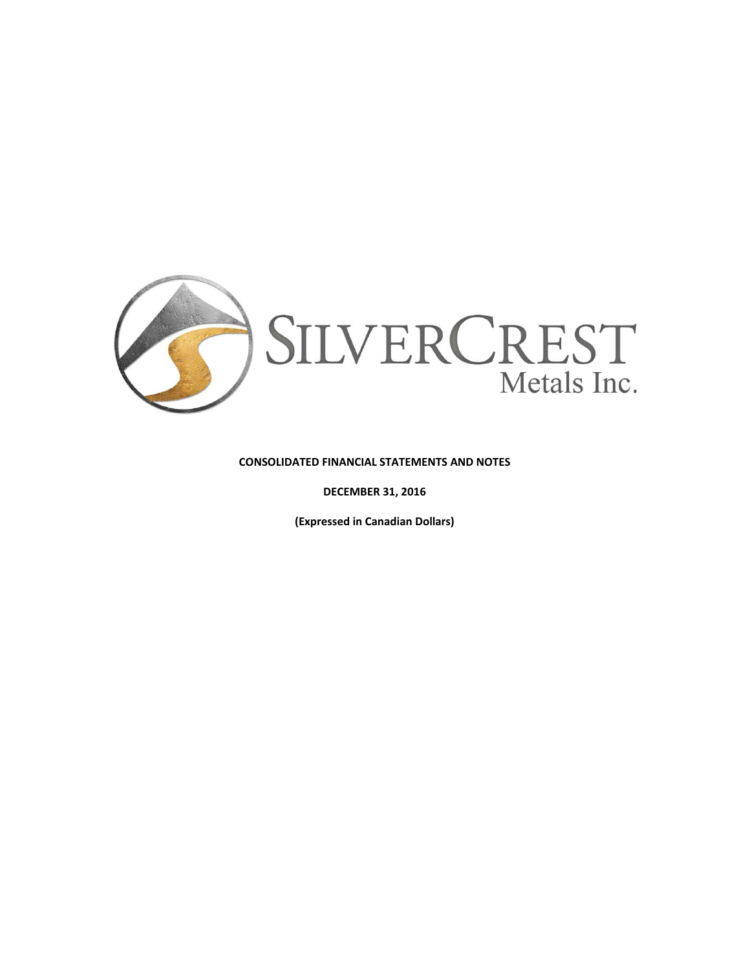

#### **CONSOLIDATED FINANCIAL STATEMENTS AND NOTES**

**DECEMBER 31, 2016**

**(Expressed in Canadian Dollars)**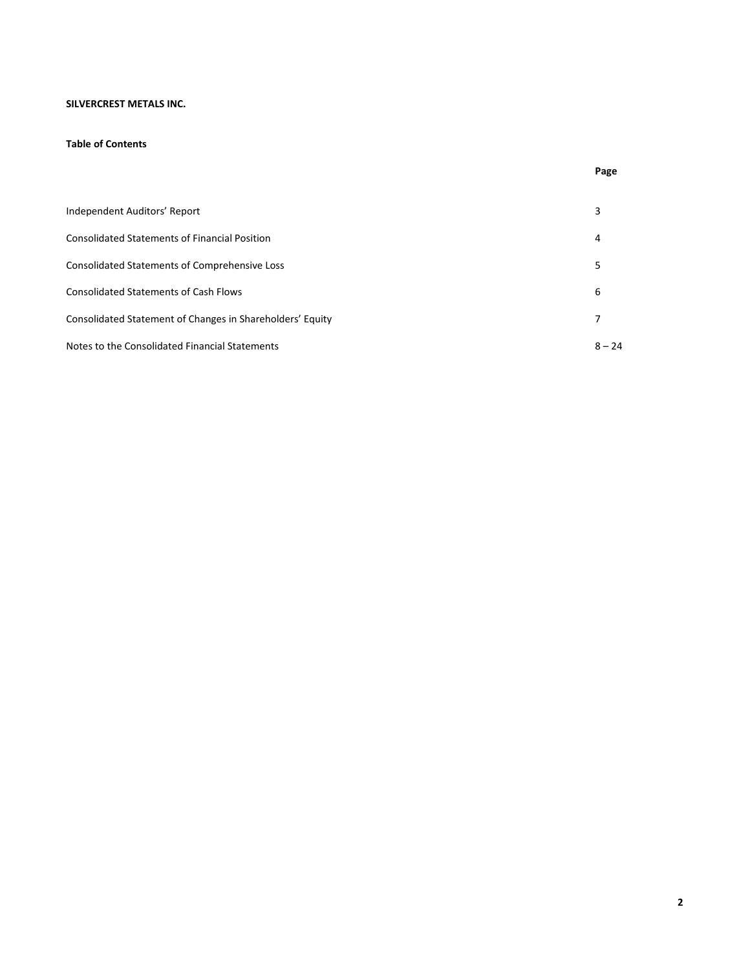## **SILVERCREST METALS INC.**

#### **Table of Contents**

| Independent Auditors' Report                              | 3        |
|-----------------------------------------------------------|----------|
| <b>Consolidated Statements of Financial Position</b>      | 4        |
| <b>Consolidated Statements of Comprehensive Loss</b>      | 5        |
| <b>Consolidated Statements of Cash Flows</b>              | 6        |
| Consolidated Statement of Changes in Shareholders' Equity | 7        |
| Notes to the Consolidated Financial Statements            | $8 - 24$ |

**Page**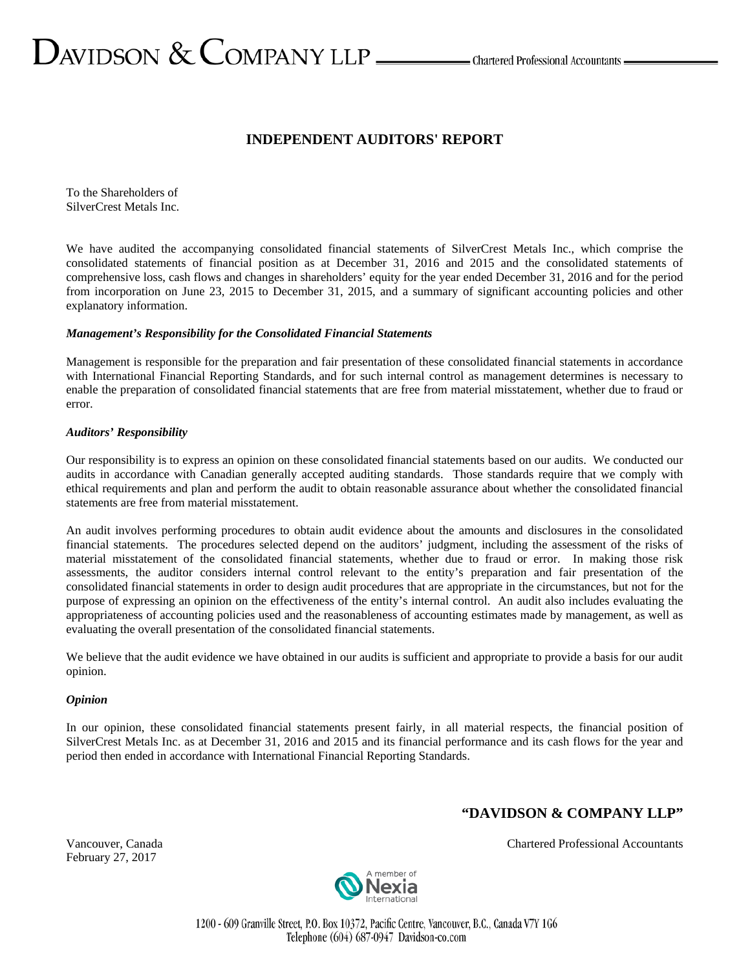# $\sum$ AVIDSON  $\&$  COMPANY LLP  $\_\_\_\_\$ Chartered Professional Accountants  $\_\_\_\$

## **INDEPENDENT AUDITORS' REPORT**

To the Shareholders of SilverCrest Metals Inc.

We have audited the accompanying consolidated financial statements of SilverCrest Metals Inc., which comprise the consolidated statements of financial position as at December 31, 2016 and 2015 and the consolidated statements of comprehensive loss, cash flows and changes in shareholders' equity for the year ended December 31, 2016 and for the period from incorporation on June 23, 2015 to December 31, 2015, and a summary of significant accounting policies and other explanatory information.

#### *Management's Responsibility for the Consolidated Financial Statements*

Management is responsible for the preparation and fair presentation of these consolidated financial statements in accordance with International Financial Reporting Standards, and for such internal control as management determines is necessary to enable the preparation of consolidated financial statements that are free from material misstatement, whether due to fraud or error.

#### *Auditors' Responsibility*

Our responsibility is to express an opinion on these consolidated financial statements based on our audits. We conducted our audits in accordance with Canadian generally accepted auditing standards. Those standards require that we comply with ethical requirements and plan and perform the audit to obtain reasonable assurance about whether the consolidated financial statements are free from material misstatement.

An audit involves performing procedures to obtain audit evidence about the amounts and disclosures in the consolidated financial statements. The procedures selected depend on the auditors' judgment, including the assessment of the risks of material misstatement of the consolidated financial statements, whether due to fraud or error. In making those risk assessments, the auditor considers internal control relevant to the entity's preparation and fair presentation of the consolidated financial statements in order to design audit procedures that are appropriate in the circumstances, but not for the purpose of expressing an opinion on the effectiveness of the entity's internal control. An audit also includes evaluating the appropriateness of accounting policies used and the reasonableness of accounting estimates made by management, as well as evaluating the overall presentation of the consolidated financial statements.

We believe that the audit evidence we have obtained in our audits is sufficient and appropriate to provide a basis for our audit opinion.

#### *Opinion*

In our opinion, these consolidated financial statements present fairly, in all material respects, the financial position of SilverCrest Metals Inc. as at December 31, 2016 and 2015 and its financial performance and its cash flows for the year and period then ended in accordance with International Financial Reporting Standards.

# **"DAVIDSON & COMPANY LLP"**

February 27, 2017

Vancouver, Canada Chartered Professional Accountants



1200 - 609 Granville Street, P.O. Box 10372, Pacific Centre, Vancouver, B.C., Canada V7Y 1G6 Telephone (604) 687-0947 Davidson-co.com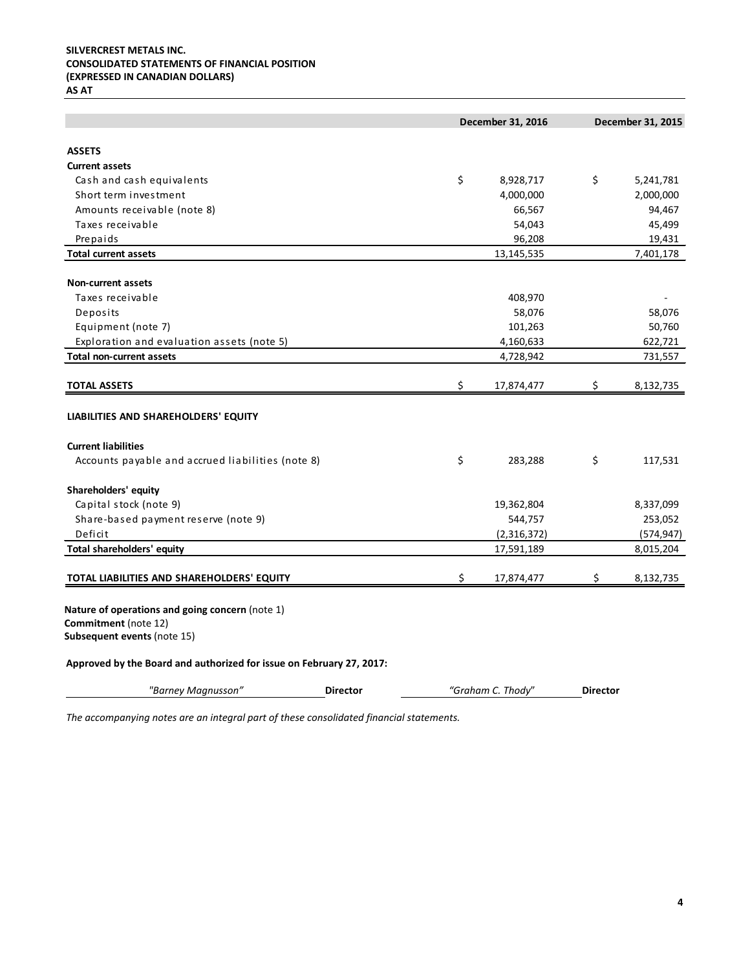# **SILVERCREST METALS INC. CONSOLIDATED STATEMENTS OF FINANCIAL POSITION (EXPRESSED IN CANADIAN DOLLARS)**

**AS AT**

|                                                                      |                 | December 31, 2016 |                 | December 31, 2015 |
|----------------------------------------------------------------------|-----------------|-------------------|-----------------|-------------------|
| <b>ASSETS</b>                                                        |                 |                   |                 |                   |
| <b>Current assets</b>                                                |                 |                   |                 |                   |
| Cash and cash equivalents                                            |                 | \$<br>8,928,717   | \$              | 5,241,781         |
| Short term investment                                                |                 | 4,000,000         |                 | 2,000,000         |
| Amounts receivable (note 8)                                          |                 | 66,567            |                 | 94,467            |
| Taxes receivable                                                     |                 | 54,043            |                 | 45,499            |
| Prepaids                                                             |                 | 96,208            |                 | 19,431            |
| <b>Total current assets</b>                                          |                 | 13,145,535        |                 | 7,401,178         |
| <b>Non-current assets</b>                                            |                 |                   |                 |                   |
| Taxes receivable                                                     |                 | 408,970           |                 |                   |
| Deposits                                                             |                 | 58,076            |                 | 58,076            |
| Equipment (note 7)                                                   |                 | 101,263           |                 | 50,760            |
| Exploration and evaluation assets (note 5)                           |                 | 4,160,633         |                 | 622,721           |
| <b>Total non-current assets</b>                                      |                 | 4,728,942         |                 | 731,557           |
|                                                                      |                 |                   |                 |                   |
| <b>TOTAL ASSETS</b>                                                  |                 | \$<br>17,874,477  | \$              | 8,132,735         |
| LIABILITIES AND SHAREHOLDERS' EQUITY                                 |                 |                   |                 |                   |
| <b>Current liabilities</b>                                           |                 |                   |                 |                   |
| Accounts payable and accrued liabilities (note 8)                    |                 | \$<br>283,288     | \$              | 117,531           |
| Shareholders' equity                                                 |                 |                   |                 |                   |
| Capital stock (note 9)                                               |                 | 19,362,804        |                 | 8,337,099         |
| Share-based payment reserve (note 9)                                 |                 | 544,757           |                 | 253,052           |
| Deficit                                                              |                 | (2,316,372)       |                 | (574, 947)        |
| Total shareholders' equity                                           |                 | 17,591,189        |                 | 8,015,204         |
|                                                                      |                 |                   |                 |                   |
| TOTAL LIABILITIES AND SHAREHOLDERS' EQUITY                           |                 | \$<br>17,874,477  | \$              | 8,132,735         |
| Nature of operations and going concern (note 1)                      |                 |                   |                 |                   |
| Commitment (note 12)                                                 |                 |                   |                 |                   |
| Subsequent events (note 15)                                          |                 |                   |                 |                   |
| Approved by the Board and authorized for issue on February 27, 2017: |                 |                   |                 |                   |
| "Barney Magnusson"                                                   | <b>Director</b> | "Graham C. Thody" | <b>Director</b> |                   |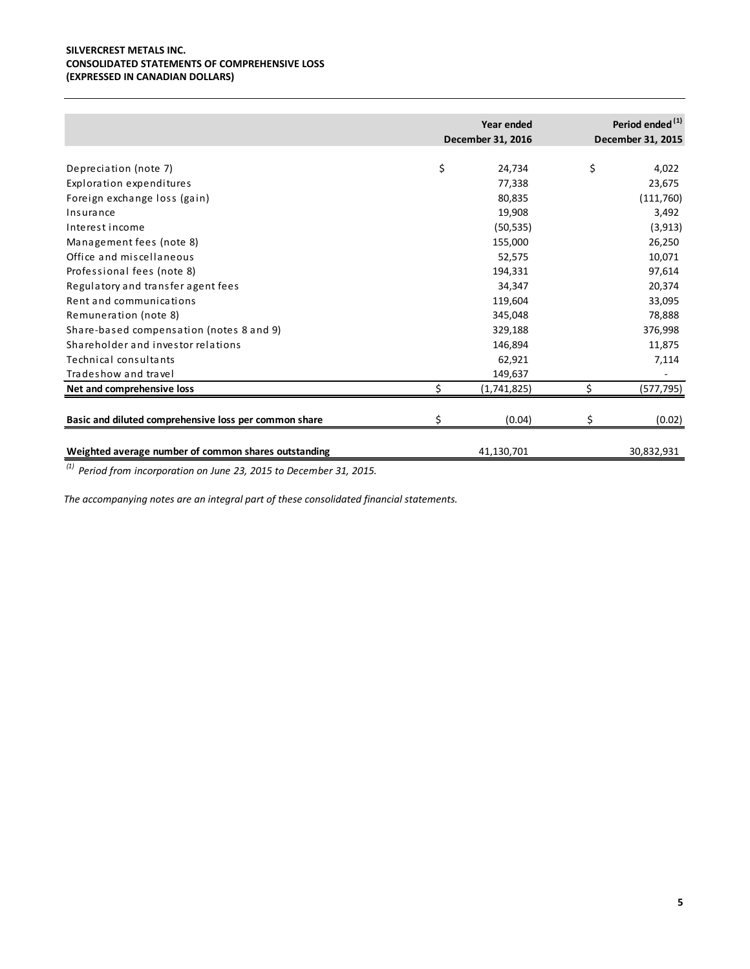#### **SILVERCREST METALS INC. CONSOLIDATED STATEMENTS OF COMPREHENSIVE LOSS (EXPRESSED IN CANADIAN DOLLARS)**

|                                                       | Year ended        |    | Period ended <sup>(1)</sup> |
|-------------------------------------------------------|-------------------|----|-----------------------------|
|                                                       | December 31, 2016 |    | December 31, 2015           |
| Depreciation (note 7)                                 | \$<br>24,734      | \$ | 4,022                       |
| Exploration expenditures                              | 77,338            |    | 23,675                      |
| Foreign exchange loss (gain)                          | 80,835            |    | (111,760)                   |
| Insurance                                             | 19,908            |    | 3,492                       |
| Interest income                                       | (50, 535)         |    | (3, 913)                    |
| Management fees (note 8)                              | 155,000           |    | 26,250                      |
| Office and miscellaneous                              | 52,575            |    | 10,071                      |
| Professional fees (note 8)                            | 194,331           |    | 97,614                      |
| Regulatory and transfer agent fees                    | 34,347            |    | 20,374                      |
| Rent and communications                               | 119,604           |    | 33,095                      |
| Remuneration (note 8)                                 | 345,048           |    | 78,888                      |
| Share-based compensation (notes 8 and 9)              | 329,188           |    | 376,998                     |
| Shareholder and investor relations                    | 146,894           |    | 11,875                      |
| Technical consultants                                 | 62,921            |    | 7,114                       |
| Tradeshow and travel                                  | 149,637           |    |                             |
| Net and comprehensive loss                            | (1,741,825)       |    | (577, 795)                  |
| Basic and diluted comprehensive loss per common share | (0.04)            |    | (0.02)                      |
| Weighted average number of common shares outstanding  | 41,130,701        |    | 30,832,931                  |

*(1) Period from incorporation on June 23, 2015 to December 31, 2015.*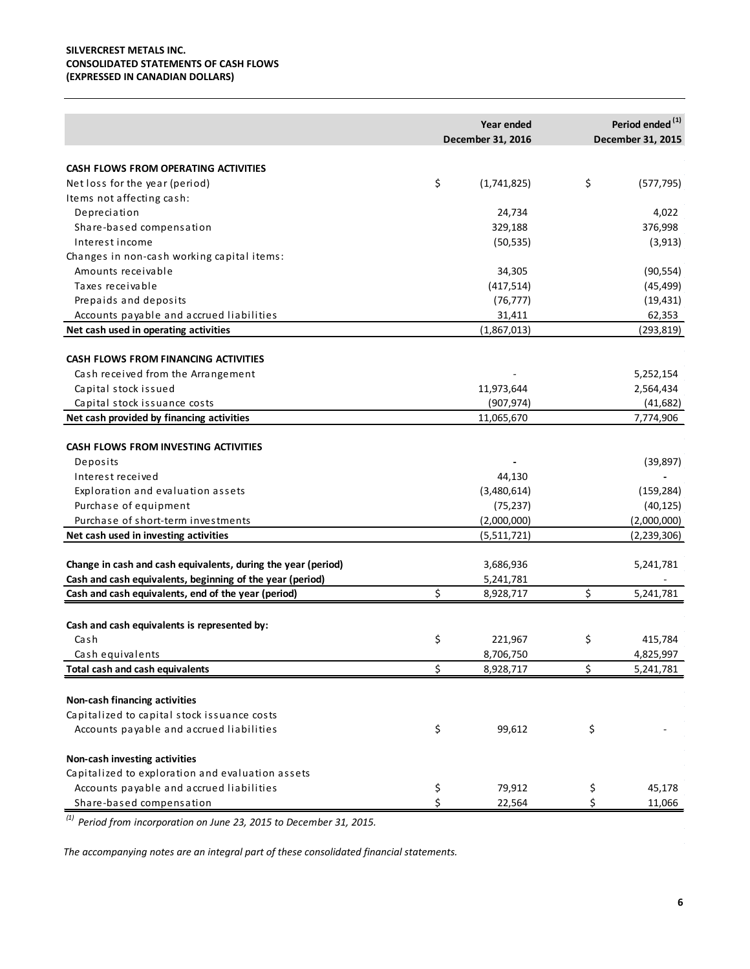#### **SILVERCREST METALS INC. CONSOLIDATED STATEMENTS OF CASH FLOWS (EXPRESSED IN CANADIAN DOLLARS)**

|                                                               | Year ended<br>December 31, 2016 | Period ended <sup>(1)</sup><br>December 31, 2015 |
|---------------------------------------------------------------|---------------------------------|--------------------------------------------------|
|                                                               |                                 |                                                  |
| CASH FLOWS FROM OPERATING ACTIVITIES                          |                                 |                                                  |
| Net loss for the year (period)                                | \$<br>(1,741,825)               | \$<br>(577, 795)                                 |
| Items not affecting cash:                                     |                                 |                                                  |
| Depreciation                                                  | 24,734                          | 4,022                                            |
| Share-based compensation                                      | 329,188                         | 376,998                                          |
| Interest income                                               | (50, 535)                       | (3, 913)                                         |
| Changes in non-cash working capital items:                    |                                 |                                                  |
| Amounts receivable                                            | 34,305                          | (90, 554)                                        |
| Taxes receivable                                              | (417, 514)                      | (45, 499)                                        |
| Prepaids and deposits                                         | (76, 777)                       | (19, 431)                                        |
| Accounts payable and accrued liabilities                      | 31,411                          | 62,353                                           |
| Net cash used in operating activities                         | (1,867,013)                     | (293,819)                                        |
| <b>CASH FLOWS FROM FINANCING ACTIVITIES</b>                   |                                 |                                                  |
| Cash received from the Arrangement                            |                                 | 5,252,154                                        |
| Capital stock issued                                          | 11,973,644                      | 2,564,434                                        |
| Capital stock issuance costs                                  | (907, 974)                      | (41, 682)                                        |
| Net cash provided by financing activities                     | 11,065,670                      | 7,774,906                                        |
|                                                               |                                 |                                                  |
| <b>CASH FLOWS FROM INVESTING ACTIVITIES</b>                   |                                 |                                                  |
| Deposits                                                      |                                 | (39, 897)                                        |
| Interest received                                             | 44,130                          |                                                  |
| Exploration and evaluation assets                             | (3,480,614)                     | (159, 284)                                       |
| Purchase of equipment                                         | (75, 237)                       | (40, 125)                                        |
| Purchase of short-term investments                            | (2,000,000)                     | (2,000,000)                                      |
| Net cash used in investing activities                         | (5,511,721)                     | (2,239,306)                                      |
| Change in cash and cash equivalents, during the year (period) | 3,686,936                       | 5,241,781                                        |
| Cash and cash equivalents, beginning of the year (period)     | 5,241,781                       |                                                  |
| Cash and cash equivalents, end of the year (period)           | \$<br>8,928,717                 | \$<br>5,241,781                                  |
|                                                               |                                 |                                                  |
| Cash and cash equivalents is represented by:                  |                                 |                                                  |
| Cash                                                          | \$<br>221,967                   | \$<br>415,784                                    |
| Cash equivalents                                              | 8,706,750                       | 4,825,997                                        |
| Total cash and cash equivalents                               | \$<br>8,928,717                 | \$<br>5,241,781                                  |
|                                                               |                                 |                                                  |
| Non-cash financing activities                                 |                                 |                                                  |
| Capitalized to capital stock issuance costs                   |                                 |                                                  |
| Accounts payable and accrued liabilities                      | \$<br>99,612                    | \$                                               |
| Non-cash investing activities                                 |                                 |                                                  |
| Capitalized to exploration and evaluation assets              |                                 |                                                  |
| Accounts payable and accrued liabilities                      | \$<br>79,912                    | \$<br>45,178                                     |
| Share-based compensation                                      | \$<br>22,564                    | \$<br>11,066                                     |

*(1) Period from incorporation on June 23, 2015 to December 31, 2015.*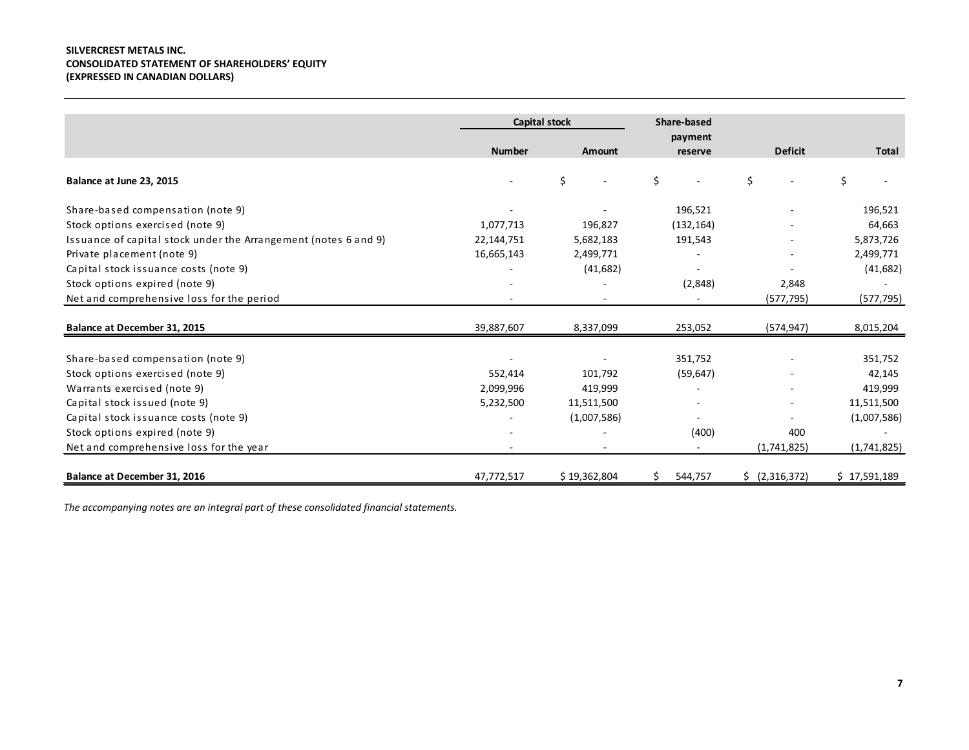#### **SILVERCREST METALS INC. CONSOLIDATED STATEMENT OF SHAREHOLDERS' EQUITY (EXPRESSED IN CANADIAN DOLLARS)**

|                                                                 | <b>Capital stock</b> |              | Share-based   |                |              |
|-----------------------------------------------------------------|----------------------|--------------|---------------|----------------|--------------|
|                                                                 |                      |              | payment       |                |              |
|                                                                 | <b>Number</b>        | Amount       | reserve       | <b>Deficit</b> | <b>Total</b> |
| Balance at June 23, 2015                                        |                      | \$           | \$            | Ś.             | \$           |
| Share-based compensation (note 9)                               |                      |              | 196,521       |                | 196,521      |
| Stock options exercised (note 9)                                | 1,077,713            | 196,827      | (132, 164)    |                | 64,663       |
| Issuance of capital stock under the Arrangement (notes 6 and 9) | 22,144,751           | 5,682,183    | 191,543       |                | 5,873,726    |
| Private placement (note 9)                                      | 16,665,143           | 2,499,771    |               |                | 2,499,771    |
| Capital stock issuance costs (note 9)                           |                      | (41, 682)    |               |                | (41, 682)    |
| Stock options expired (note 9)                                  |                      |              | (2,848)       | 2,848          |              |
| Net and comprehensive loss for the period                       |                      |              |               | (577, 795)     | (577, 795)   |
| Balance at December 31, 2015                                    | 39,887,607           | 8,337,099    | 253,052       | (574, 947)     | 8,015,204    |
| Share-based compensation (note 9)                               |                      |              | 351,752       |                | 351,752      |
| Stock options exercised (note 9)                                | 552,414              | 101,792      | (59, 647)     |                | 42,145       |
| Warrants exercised (note 9)                                     | 2,099,996            | 419,999      |               |                | 419,999      |
| Capital stock issued (note 9)                                   | 5,232,500            | 11,511,500   |               |                | 11,511,500   |
| Capital stock issuance costs (note 9)                           |                      | (1,007,586)  |               |                | (1,007,586)  |
| Stock options expired (note 9)                                  |                      |              | (400)         | 400            |              |
| Net and comprehensive loss for the year                         |                      |              | $\sim$        | (1,741,825)    | (1,741,825)  |
| Balance at December 31, 2016                                    | 47,772,517           | \$19,362,804 | 544,757<br>S. | \$ (2,316,372) | \$17,591,189 |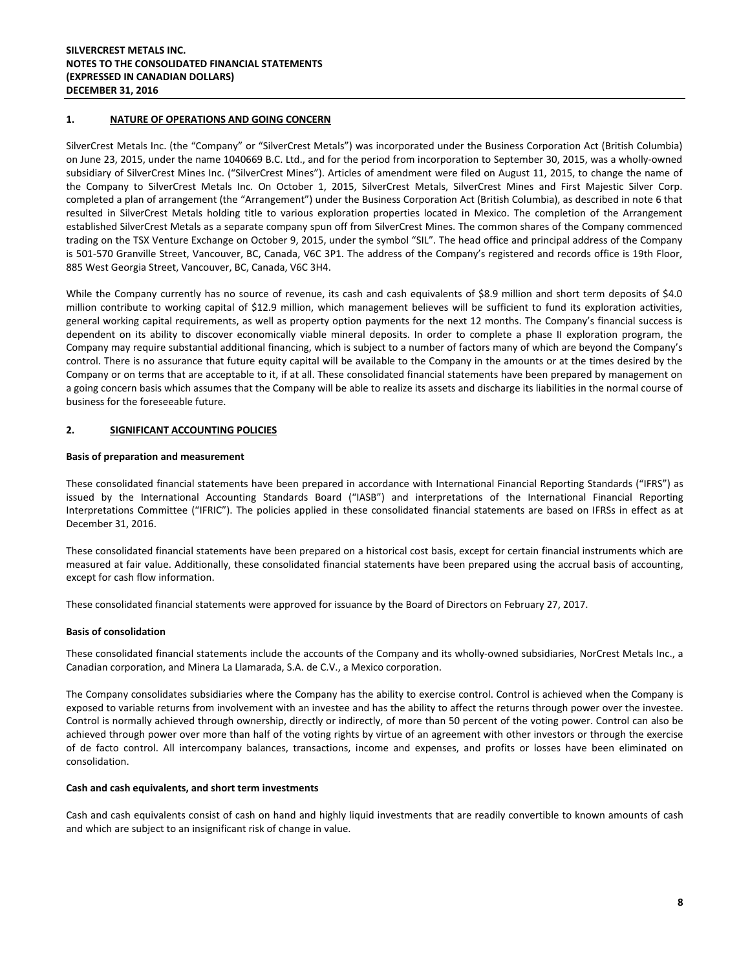#### **1. NATURE OF OPERATIONS AND GOING CONCERN**

SilverCrest Metals Inc. (the "Company" or "SilverCrest Metals") was incorporated under the Business Corporation Act (British Columbia) on June 23, 2015, under the name 1040669 B.C. Ltd., and for the period from incorporation to September 30, 2015, was a wholly-owned subsidiary of SilverCrest Mines Inc. ("SilverCrest Mines"). Articles of amendment were filed on August 11, 2015, to change the name of the Company to SilverCrest Metals Inc. On October 1, 2015, SilverCrest Metals, SilverCrest Mines and First Majestic Silver Corp. completed a plan of arrangement (the "Arrangement") under the Business Corporation Act (British Columbia), as described in note 6 that resulted in SilverCrest Metals holding title to various exploration properties located in Mexico. The completion of the Arrangement established SilverCrest Metals as a separate company spun off from SilverCrest Mines. The common shares of the Company commenced trading on the TSX Venture Exchange on October 9, 2015, under the symbol "SIL". The head office and principal address of the Company is 501-570 Granville Street, Vancouver, BC, Canada, V6C 3P1. The address of the Company's registered and records office is 19th Floor, 885 West Georgia Street, Vancouver, BC, Canada, V6C 3H4.

While the Company currently has no source of revenue, its cash and cash equivalents of \$8.9 million and short term deposits of \$4.0 million contribute to working capital of \$12.9 million, which management believes will be sufficient to fund its exploration activities, general working capital requirements, as well as property option payments for the next 12 months. The Company's financial success is dependent on its ability to discover economically viable mineral deposits. In order to complete a phase II exploration program, the Company may require substantial additional financing, which is subject to a number of factors many of which are beyond the Company's control. There is no assurance that future equity capital will be available to the Company in the amounts or at the times desired by the Company or on terms that are acceptable to it, if at all. These consolidated financial statements have been prepared by management on a going concern basis which assumes that the Company will be able to realize its assets and discharge its liabilities in the normal course of business for the foreseeable future.

#### **2. SIGNIFICANT ACCOUNTING POLICIES**

#### **Basis of preparation and measurement**

These consolidated financial statements have been prepared in accordance with International Financial Reporting Standards ("IFRS") as issued by the International Accounting Standards Board ("IASB") and interpretations of the International Financial Reporting Interpretations Committee ("IFRIC"). The policies applied in these consolidated financial statements are based on IFRSs in effect as at December 31, 2016.

These consolidated financial statements have been prepared on a historical cost basis, except for certain financial instruments which are measured at fair value. Additionally, these consolidated financial statements have been prepared using the accrual basis of accounting, except for cash flow information.

These consolidated financial statements were approved for issuance by the Board of Directors on February 27, 2017.

#### **Basis of consolidation**

These consolidated financial statements include the accounts of the Company and its wholly-owned subsidiaries, NorCrest Metals Inc., a Canadian corporation, and Minera La Llamarada, S.A. de C.V., a Mexico corporation.

The Company consolidates subsidiaries where the Company has the ability to exercise control. Control is achieved when the Company is exposed to variable returns from involvement with an investee and has the ability to affect the returns through power over the investee. Control is normally achieved through ownership, directly or indirectly, of more than 50 percent of the voting power. Control can also be achieved through power over more than half of the voting rights by virtue of an agreement with other investors or through the exercise of de facto control. All intercompany balances, transactions, income and expenses, and profits or losses have been eliminated on consolidation.

#### **Cash and cash equivalents, and short term investments**

Cash and cash equivalents consist of cash on hand and highly liquid investments that are readily convertible to known amounts of cash and which are subject to an insignificant risk of change in value.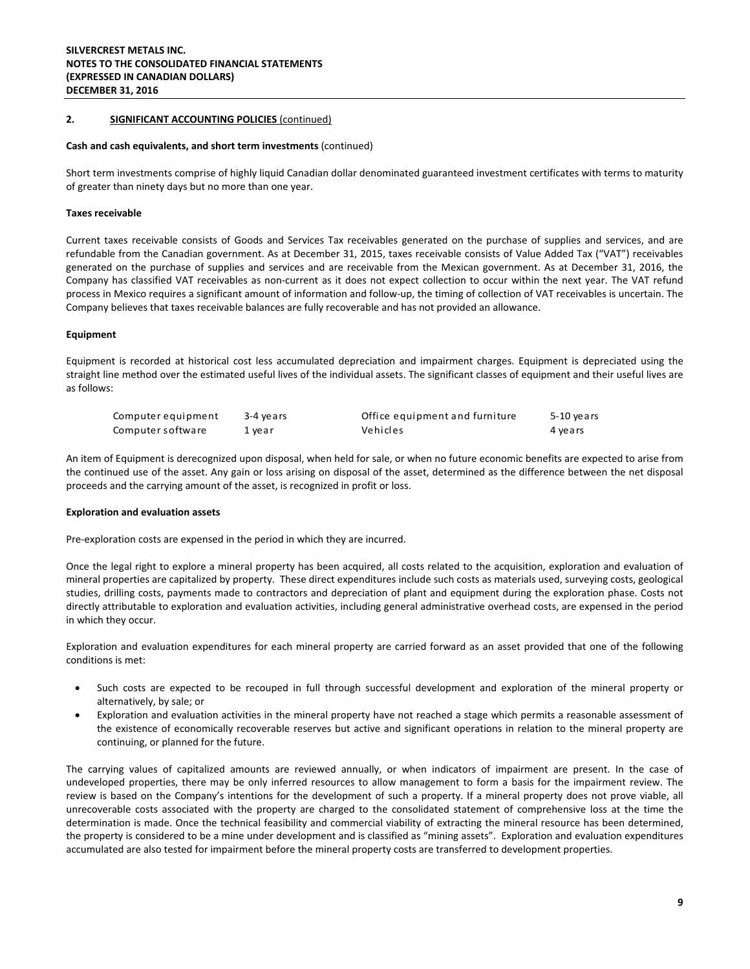#### **Cash and cash equivalents, and short term investments** (continued)

Short term investments comprise of highly liquid Canadian dollar denominated guaranteed investment certificates with terms to maturity of greater than ninety days but no more than one year.

#### **Taxes receivable**

Current taxes receivable consists of Goods and Services Tax receivables generated on the purchase of supplies and services, and are refundable from the Canadian government. As at December 31, 2015, taxes receivable consists of Value Added Tax ("VAT") receivables generated on the purchase of supplies and services and are receivable from the Mexican government. As at December 31, 2016, the Company has classified VAT receivables as non-current as it does not expect collection to occur within the next year. The VAT refund process in Mexico requires a significant amount of information and follow-up, the timing of collection of VAT receivables is uncertain. The Company believes that taxes receivable balances are fully recoverable and has not provided an allowance.

#### **Equipment**

Equipment is recorded at historical cost less accumulated depreciation and impairment charges. Equipment is depreciated using the straight line method over the estimated useful lives of the individual assets. The significant classes of equipment and their useful lives are as follows:

| Computer equipment | 3-4 vears | Office equipment and furniture | 5-10 years |
|--------------------|-----------|--------------------------------|------------|
| Computer software  | 1 year    | Vehicles                       | 4 years    |

An item of Equipment is derecognized upon disposal, when held for sale, or when no future economic benefits are expected to arise from the continued use of the asset. Any gain or loss arising on disposal of the asset, determined as the difference between the net disposal proceeds and the carrying amount of the asset, is recognized in profit or loss.

#### **Exploration and evaluation assets**

Pre-exploration costs are expensed in the period in which they are incurred.

Once the legal right to explore a mineral property has been acquired, all costs related to the acquisition, exploration and evaluation of mineral properties are capitalized by property. These direct expenditures include such costs as materials used, surveying costs, geological studies, drilling costs, payments made to contractors and depreciation of plant and equipment during the exploration phase. Costs not directly attributable to exploration and evaluation activities, including general administrative overhead costs, are expensed in the period in which they occur.

Exploration and evaluation expenditures for each mineral property are carried forward as an asset provided that one of the following conditions is met:

- Such costs are expected to be recouped in full through successful development and exploration of the mineral property or alternatively, by sale; or
- Exploration and evaluation activities in the mineral property have not reached a stage which permits a reasonable assessment of the existence of economically recoverable reserves but active and significant operations in relation to the mineral property are continuing, or planned for the future.

The carrying values of capitalized amounts are reviewed annually, or when indicators of impairment are present. In the case of undeveloped properties, there may be only inferred resources to allow management to form a basis for the impairment review. The review is based on the Company's intentions for the development of such a property. If a mineral property does not prove viable, all unrecoverable costs associated with the property are charged to the consolidated statement of comprehensive loss at the time the determination is made. Once the technical feasibility and commercial viability of extracting the mineral resource has been determined, the property is considered to be a mine under development and is classified as "mining assets". Exploration and evaluation expenditures accumulated are also tested for impairment before the mineral property costs are transferred to development properties.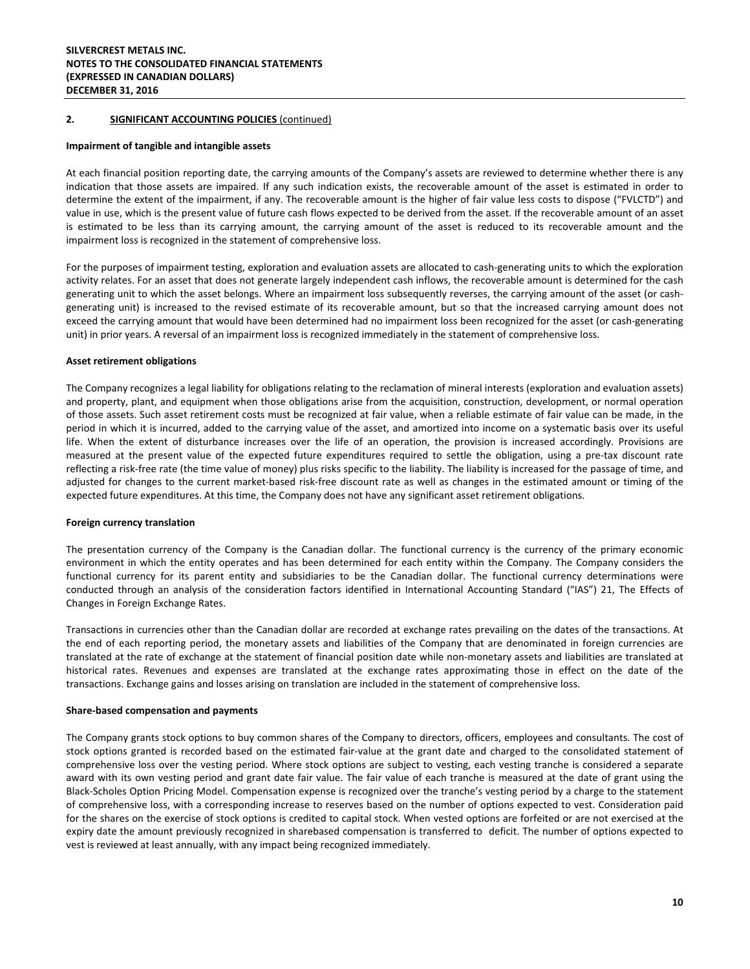#### **Impairment of tangible and intangible assets**

At each financial position reporting date, the carrying amounts of the Company's assets are reviewed to determine whether there is any indication that those assets are impaired. If any such indication exists, the recoverable amount of the asset is estimated in order to determine the extent of the impairment, if any. The recoverable amount is the higher of fair value less costs to dispose ("FVLCTD") and value in use, which is the present value of future cash flows expected to be derived from the asset. If the recoverable amount of an asset is estimated to be less than its carrying amount, the carrying amount of the asset is reduced to its recoverable amount and the impairment loss is recognized in the statement of comprehensive loss.

For the purposes of impairment testing, exploration and evaluation assets are allocated to cash-generating units to which the exploration activity relates. For an asset that does not generate largely independent cash inflows, the recoverable amount is determined for the cash generating unit to which the asset belongs. Where an impairment loss subsequently reverses, the carrying amount of the asset (or cashgenerating unit) is increased to the revised estimate of its recoverable amount, but so that the increased carrying amount does not exceed the carrying amount that would have been determined had no impairment loss been recognized for the asset (or cash-generating unit) in prior years. A reversal of an impairment loss is recognized immediately in the statement of comprehensive loss.

#### **Asset retirement obligations**

The Company recognizes a legal liability for obligations relating to the reclamation of mineral interests (exploration and evaluation assets) and property, plant, and equipment when those obligations arise from the acquisition, construction, development, or normal operation of those assets. Such asset retirement costs must be recognized at fair value, when a reliable estimate of fair value can be made, in the period in which it is incurred, added to the carrying value of the asset, and amortized into income on a systematic basis over its useful life. When the extent of disturbance increases over the life of an operation, the provision is increased accordingly. Provisions are measured at the present value of the expected future expenditures required to settle the obligation, using a pre-tax discount rate reflecting a risk-free rate (the time value of money) plus risks specific to the liability. The liability is increased for the passage of time, and adjusted for changes to the current market-based risk-free discount rate as well as changes in the estimated amount or timing of the expected future expenditures. At this time, the Company does not have any significant asset retirement obligations.

#### **Foreign currency translation**

The presentation currency of the Company is the Canadian dollar. The functional currency is the currency of the primary economic environment in which the entity operates and has been determined for each entity within the Company. The Company considers the functional currency for its parent entity and subsidiaries to be the Canadian dollar. The functional currency determinations were conducted through an analysis of the consideration factors identified in International Accounting Standard ("IAS") 21, The Effects of Changes in Foreign Exchange Rates.

Transactions in currencies other than the Canadian dollar are recorded at exchange rates prevailing on the dates of the transactions. At the end of each reporting period, the monetary assets and liabilities of the Company that are denominated in foreign currencies are translated at the rate of exchange at the statement of financial position date while non-monetary assets and liabilities are translated at historical rates. Revenues and expenses are translated at the exchange rates approximating those in effect on the date of the transactions. Exchange gains and losses arising on translation are included in the statement of comprehensive loss.

#### **Share-based compensation and payments**

The Company grants stock options to buy common shares of the Company to directors, officers, employees and consultants. The cost of stock options granted is recorded based on the estimated fair-value at the grant date and charged to the consolidated statement of comprehensive loss over the vesting period. Where stock options are subject to vesting, each vesting tranche is considered a separate award with its own vesting period and grant date fair value. The fair value of each tranche is measured at the date of grant using the Black-Scholes Option Pricing Model. Compensation expense is recognized over the tranche's vesting period by a charge to the statement of comprehensive loss, with a corresponding increase to reserves based on the number of options expected to vest. Consideration paid for the shares on the exercise of stock options is credited to capital stock. When vested options are forfeited or are not exercised at the expiry date the amount previously recognized in sharebased compensation is transferred to deficit. The number of options expected to vest is reviewed at least annually, with any impact being recognized immediately.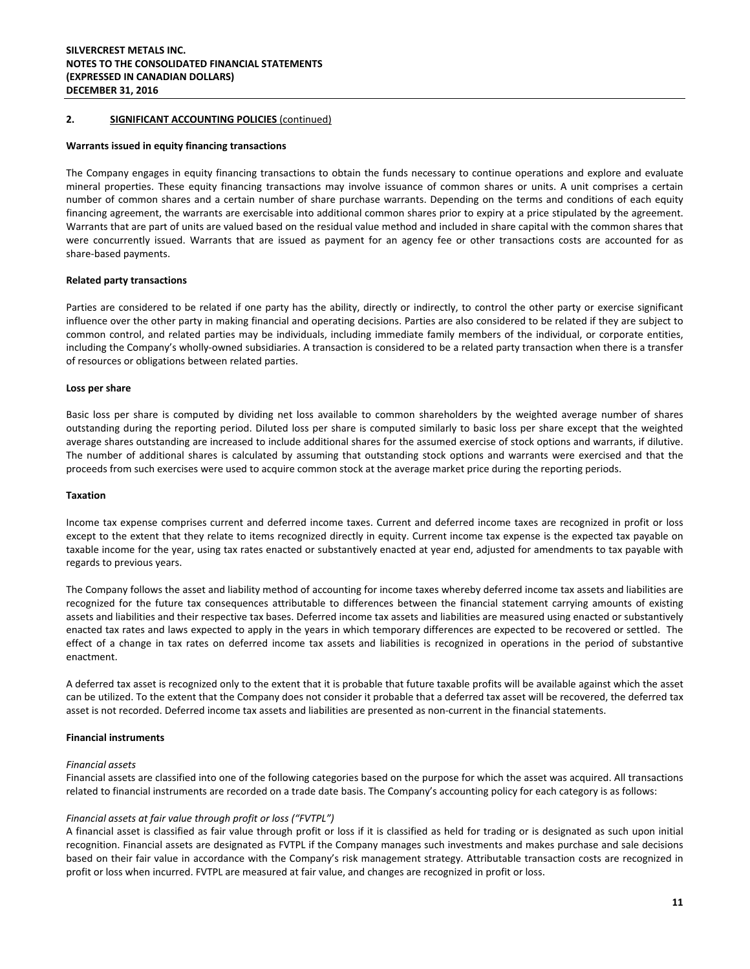#### **Warrants issued in equity financing transactions**

The Company engages in equity financing transactions to obtain the funds necessary to continue operations and explore and evaluate mineral properties. These equity financing transactions may involve issuance of common shares or units. A unit comprises a certain number of common shares and a certain number of share purchase warrants. Depending on the terms and conditions of each equity financing agreement, the warrants are exercisable into additional common shares prior to expiry at a price stipulated by the agreement. Warrants that are part of units are valued based on the residual value method and included in share capital with the common shares that were concurrently issued. Warrants that are issued as payment for an agency fee or other transactions costs are accounted for as share-based payments.

#### **Related party transactions**

Parties are considered to be related if one party has the ability, directly or indirectly, to control the other party or exercise significant influence over the other party in making financial and operating decisions. Parties are also considered to be related if they are subject to common control, and related parties may be individuals, including immediate family members of the individual, or corporate entities, including the Company's wholly-owned subsidiaries. A transaction is considered to be a related party transaction when there is a transfer of resources or obligations between related parties.

#### **Loss per share**

Basic loss per share is computed by dividing net loss available to common shareholders by the weighted average number of shares outstanding during the reporting period. Diluted loss per share is computed similarly to basic loss per share except that the weighted average shares outstanding are increased to include additional shares for the assumed exercise of stock options and warrants, if dilutive. The number of additional shares is calculated by assuming that outstanding stock options and warrants were exercised and that the proceeds from such exercises were used to acquire common stock at the average market price during the reporting periods.

#### **Taxation**

Income tax expense comprises current and deferred income taxes. Current and deferred income taxes are recognized in profit or loss except to the extent that they relate to items recognized directly in equity. Current income tax expense is the expected tax payable on taxable income for the year, using tax rates enacted or substantively enacted at year end, adjusted for amendments to tax payable with regards to previous years.

The Company follows the asset and liability method of accounting for income taxes whereby deferred income tax assets and liabilities are recognized for the future tax consequences attributable to differences between the financial statement carrying amounts of existing assets and liabilities and their respective tax bases. Deferred income tax assets and liabilities are measured using enacted or substantively enacted tax rates and laws expected to apply in the years in which temporary differences are expected to be recovered or settled. The effect of a change in tax rates on deferred income tax assets and liabilities is recognized in operations in the period of substantive enactment.

A deferred tax asset is recognized only to the extent that it is probable that future taxable profits will be available against which the asset can be utilized. To the extent that the Company does not consider it probable that a deferred tax asset will be recovered, the deferred tax asset is not recorded. Deferred income tax assets and liabilities are presented as non-current in the financial statements.

#### **Financial instruments**

#### *Financial assets*

Financial assets are classified into one of the following categories based on the purpose for which the asset was acquired. All transactions related to financial instruments are recorded on a trade date basis. The Company's accounting policy for each category is as follows:

#### *Financial assets at fair value through profit or loss ("FVTPL")*

A financial asset is classified as fair value through profit or loss if it is classified as held for trading or is designated as such upon initial recognition. Financial assets are designated as FVTPL if the Company manages such investments and makes purchase and sale decisions based on their fair value in accordance with the Company's risk management strategy. Attributable transaction costs are recognized in profit or loss when incurred. FVTPL are measured at fair value, and changes are recognized in profit or loss.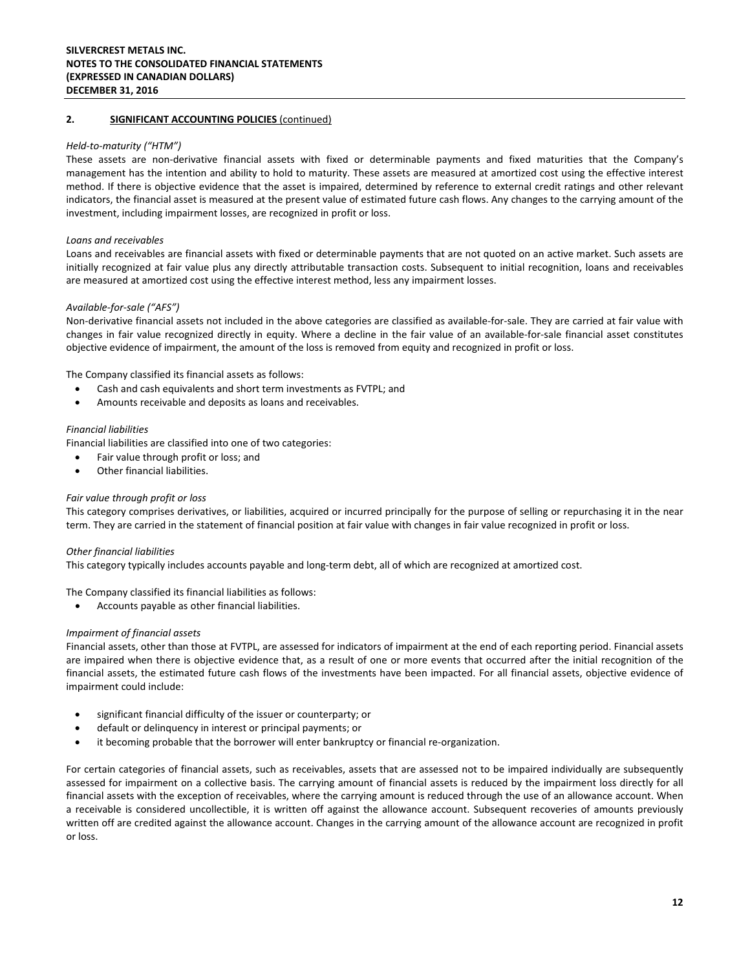#### *Held‐to‐maturity ("HTM")*

These assets are non-derivative financial assets with fixed or determinable payments and fixed maturities that the Company's management has the intention and ability to hold to maturity. These assets are measured at amortized cost using the effective interest method. If there is objective evidence that the asset is impaired, determined by reference to external credit ratings and other relevant indicators, the financial asset is measured at the present value of estimated future cash flows. Any changes to the carrying amount of the investment, including impairment losses, are recognized in profit or loss.

#### *Loans and receivables*

Loans and receivables are financial assets with fixed or determinable payments that are not quoted on an active market. Such assets are initially recognized at fair value plus any directly attributable transaction costs. Subsequent to initial recognition, loans and receivables are measured at amortized cost using the effective interest method, less any impairment losses.

#### *Available‐for‐sale ("AFS")*

Non-derivative financial assets not included in the above categories are classified as available-for-sale. They are carried at fair value with changes in fair value recognized directly in equity. Where a decline in the fair value of an available-for-sale financial asset constitutes objective evidence of impairment, the amount of the loss is removed from equity and recognized in profit or loss.

The Company classified its financial assets as follows:

- Cash and cash equivalents and short term investments as FVTPL; and
- Amounts receivable and deposits as loans and receivables.

#### *Financial liabilities*

Financial liabilities are classified into one of two categories:

- Fair value through profit or loss; and
- Other financial liabilities.

#### *Fair value through profit or loss*

This category comprises derivatives, or liabilities, acquired or incurred principally for the purpose of selling or repurchasing it in the near term. They are carried in the statement of financial position at fair value with changes in fair value recognized in profit or loss.

#### *Other financial liabilities*

This category typically includes accounts payable and long-term debt, all of which are recognized at amortized cost.

The Company classified its financial liabilities as follows:

• Accounts payable as other financial liabilities.

#### *Impairment of financial assets*

Financial assets, other than those at FVTPL, are assessed for indicators of impairment at the end of each reporting period. Financial assets are impaired when there is objective evidence that, as a result of one or more events that occurred after the initial recognition of the financial assets, the estimated future cash flows of the investments have been impacted. For all financial assets, objective evidence of impairment could include:

- significant financial difficulty of the issuer or counterparty; or
- default or delinquency in interest or principal payments; or
- it becoming probable that the borrower will enter bankruptcy or financial re-organization.

For certain categories of financial assets, such as receivables, assets that are assessed not to be impaired individually are subsequently assessed for impairment on a collective basis. The carrying amount of financial assets is reduced by the impairment loss directly for all financial assets with the exception of receivables, where the carrying amount is reduced through the use of an allowance account. When a receivable is considered uncollectible, it is written off against the allowance account. Subsequent recoveries of amounts previously written off are credited against the allowance account. Changes in the carrying amount of the allowance account are recognized in profit or loss.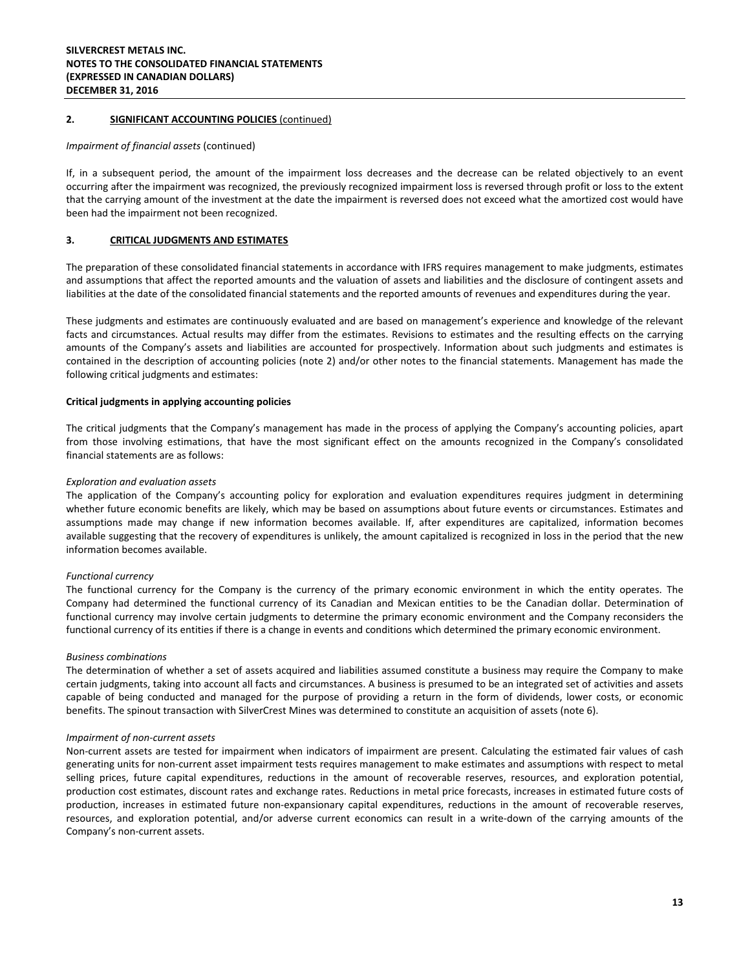#### *Impairment of financial assets* (continued)

If, in a subsequent period, the amount of the impairment loss decreases and the decrease can be related objectively to an event occurring after the impairment was recognized, the previously recognized impairment loss is reversed through profit or loss to the extent that the carrying amount of the investment at the date the impairment is reversed does not exceed what the amortized cost would have been had the impairment not been recognized.

#### **3. CRITICAL JUDGMENTS AND ESTIMATES**

The preparation of these consolidated financial statements in accordance with IFRS requires management to make judgments, estimates and assumptions that affect the reported amounts and the valuation of assets and liabilities and the disclosure of contingent assets and liabilities at the date of the consolidated financial statements and the reported amounts of revenues and expenditures during the year.

These judgments and estimates are continuously evaluated and are based on management's experience and knowledge of the relevant facts and circumstances. Actual results may differ from the estimates. Revisions to estimates and the resulting effects on the carrying amounts of the Company's assets and liabilities are accounted for prospectively. Information about such judgments and estimates is contained in the description of accounting policies (note 2) and/or other notes to the financial statements. Management has made the following critical judgments and estimates:

#### **Critical judgments in applying accounting policies**

The critical judgments that the Company's management has made in the process of applying the Company's accounting policies, apart from those involving estimations, that have the most significant effect on the amounts recognized in the Company's consolidated financial statements are as follows:

#### *Exploration and evaluation assets*

The application of the Company's accounting policy for exploration and evaluation expenditures requires judgment in determining whether future economic benefits are likely, which may be based on assumptions about future events or circumstances. Estimates and assumptions made may change if new information becomes available. If, after expenditures are capitalized, information becomes available suggesting that the recovery of expenditures is unlikely, the amount capitalized is recognized in loss in the period that the new information becomes available.

#### *Functional currency*

The functional currency for the Company is the currency of the primary economic environment in which the entity operates. The Company had determined the functional currency of its Canadian and Mexican entities to be the Canadian dollar. Determination of functional currency may involve certain judgments to determine the primary economic environment and the Company reconsiders the functional currency of its entities if there is a change in events and conditions which determined the primary economic environment.

#### *Business combinations*

The determination of whether a set of assets acquired and liabilities assumed constitute a business may require the Company to make certain judgments, taking into account all facts and circumstances. A business is presumed to be an integrated set of activities and assets capable of being conducted and managed for the purpose of providing a return in the form of dividends, lower costs, or economic benefits. The spinout transaction with SilverCrest Mines was determined to constitute an acquisition of assets (note 6).

#### *Impairment of non-current assets*

Non-current assets are tested for impairment when indicators of impairment are present. Calculating the estimated fair values of cash generating units for non-current asset impairment tests requires management to make estimates and assumptions with respect to metal selling prices, future capital expenditures, reductions in the amount of recoverable reserves, resources, and exploration potential, production cost estimates, discount rates and exchange rates. Reductions in metal price forecasts, increases in estimated future costs of production, increases in estimated future non-expansionary capital expenditures, reductions in the amount of recoverable reserves, resources, and exploration potential, and/or adverse current economics can result in a write-down of the carrying amounts of the Company's non-current assets.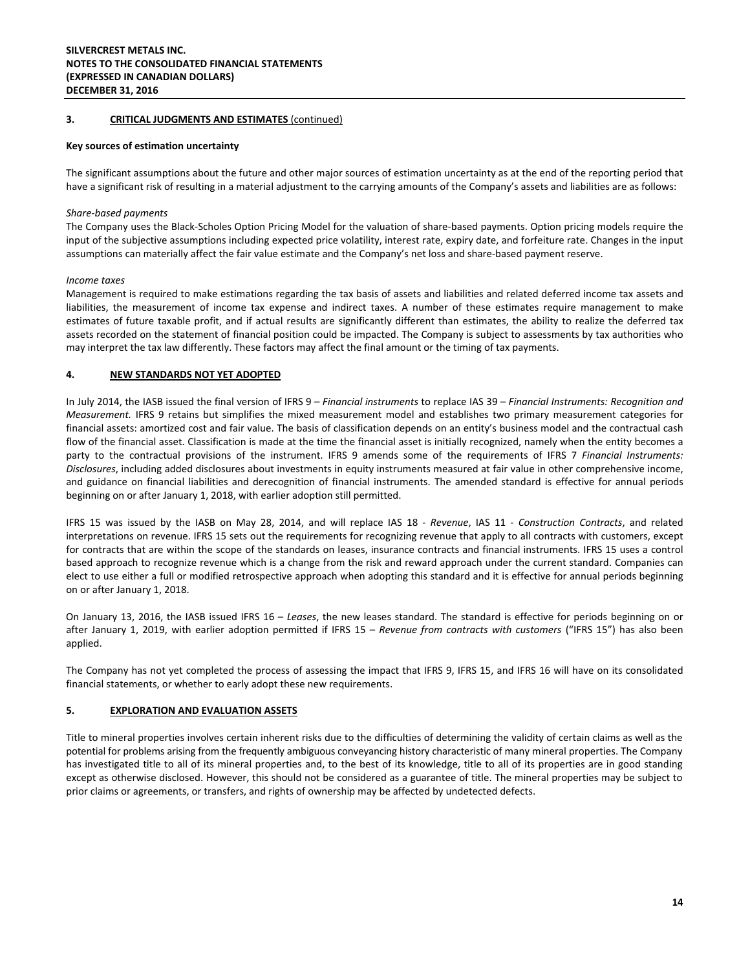#### **3. CRITICAL JUDGMENTS AND ESTIMATES** (continued)

#### **Key sources of estimation uncertainty**

The significant assumptions about the future and other major sources of estimation uncertainty as at the end of the reporting period that have a significant risk of resulting in a material adjustment to the carrying amounts of the Company's assets and liabilities are as follows:

#### *Share-based payments*

The Company uses the Black-Scholes Option Pricing Model for the valuation of share-based payments. Option pricing models require the input of the subjective assumptions including expected price volatility, interest rate, expiry date, and forfeiture rate. Changes in the input assumptions can materially affect the fair value estimate and the Company's net loss and share-based payment reserve.

#### *Income taxes*

Management is required to make estimations regarding the tax basis of assets and liabilities and related deferred income tax assets and liabilities, the measurement of income tax expense and indirect taxes. A number of these estimates require management to make estimates of future taxable profit, and if actual results are significantly different than estimates, the ability to realize the deferred tax assets recorded on the statement of financial position could be impacted. The Company is subject to assessments by tax authorities who may interpret the tax law differently. These factors may affect the final amount or the timing of tax payments.

#### **4. NEW STANDARDS NOT YET ADOPTED**

In July 2014, the IASB issued the final version of IFRS 9 – *Financial instruments* to replace IAS 39 – *Financial Instruments: Recognition and Measurement.* IFRS 9 retains but simplifies the mixed measurement model and establishes two primary measurement categories for financial assets: amortized cost and fair value. The basis of classification depends on an entity's business model and the contractual cash flow of the financial asset. Classification is made at the time the financial asset is initially recognized, namely when the entity becomes a party to the contractual provisions of the instrument. IFRS 9 amends some of the requirements of IFRS 7 *Financial Instruments: Disclosures*, including added disclosures about investments in equity instruments measured at fair value in other comprehensive income, and guidance on financial liabilities and derecognition of financial instruments. The amended standard is effective for annual periods beginning on or after January 1, 2018, with earlier adoption still permitted.

IFRS 15 was issued by the IASB on May 28, 2014, and will replace IAS 18 - *Revenue*, IAS 11 - *Construction Contracts*, and related interpretations on revenue. IFRS 15 sets out the requirements for recognizing revenue that apply to all contracts with customers, except for contracts that are within the scope of the standards on leases, insurance contracts and financial instruments. IFRS 15 uses a control based approach to recognize revenue which is a change from the risk and reward approach under the current standard. Companies can elect to use either a full or modified retrospective approach when adopting this standard and it is effective for annual periods beginning on or after January 1, 2018.

On January 13, 2016, the IASB issued IFRS 16 – *Leases*, the new leases standard. The standard is effective for periods beginning on or after January 1, 2019, with earlier adoption permitted if IFRS 15 – *Revenue from contracts with customers* ("IFRS 15") has also been applied.

The Company has not yet completed the process of assessing the impact that IFRS 9, IFRS 15, and IFRS 16 will have on its consolidated financial statements, or whether to early adopt these new requirements.

#### **5. EXPLORATION AND EVALUATION ASSETS**

Title to mineral properties involves certain inherent risks due to the difficulties of determining the validity of certain claims as well as the potential for problems arising from the frequently ambiguous conveyancing history characteristic of many mineral properties. The Company has investigated title to all of its mineral properties and, to the best of its knowledge, title to all of its properties are in good standing except as otherwise disclosed. However, this should not be considered as a guarantee of title. The mineral properties may be subject to prior claims or agreements, or transfers, and rights of ownership may be affected by undetected defects.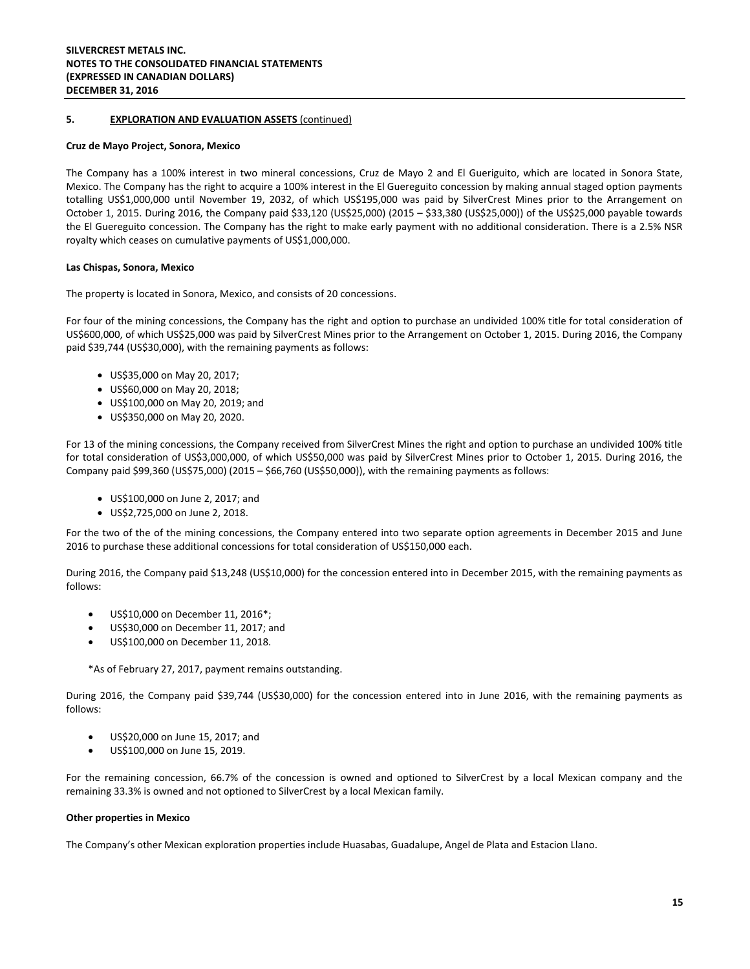#### **5. EXPLORATION AND EVALUATION ASSETS** (continued)

#### **Cruz de Mayo Project, Sonora, Mexico**

The Company has a 100% interest in two mineral concessions, Cruz de Mayo 2 and El Gueriguito, which are located in Sonora State, Mexico. The Company has the right to acquire a 100% interest in the El Guereguito concession by making annual staged option payments totalling US\$1,000,000 until November 19, 2032, of which US\$195,000 was paid by SilverCrest Mines prior to the Arrangement on October 1, 2015. During 2016, the Company paid \$33,120 (US\$25,000) (2015 – \$33,380 (US\$25,000)) of the US\$25,000 payable towards the El Guereguito concession. The Company has the right to make early payment with no additional consideration. There is a 2.5% NSR royalty which ceases on cumulative payments of US\$1,000,000.

#### **Las Chispas, Sonora, Mexico**

The property is located in Sonora, Mexico, and consists of 20 concessions.

For four of the mining concessions, the Company has the right and option to purchase an undivided 100% title for total consideration of US\$600,000, of which US\$25,000 was paid by SilverCrest Mines prior to the Arrangement on October 1, 2015. During 2016, the Company paid \$39,744 (US\$30,000), with the remaining payments as follows:

- US\$35,000 on May 20, 2017;
- US\$60,000 on May 20, 2018;
- US\$100,000 on May 20, 2019; and
- US\$350,000 on May 20, 2020.

For 13 of the mining concessions, the Company received from SilverCrest Mines the right and option to purchase an undivided 100% title for total consideration of US\$3,000,000, of which US\$50,000 was paid by SilverCrest Mines prior to October 1, 2015. During 2016, the Company paid \$99,360 (US\$75,000) (2015 – \$66,760 (US\$50,000)), with the remaining payments as follows:

- US\$100,000 on June 2, 2017; and
- US\$2,725,000 on June 2, 2018.

For the two of the of the mining concessions, the Company entered into two separate option agreements in December 2015 and June 2016 to purchase these additional concessions for total consideration of US\$150,000 each.

During 2016, the Company paid \$13,248 (US\$10,000) for the concession entered into in December 2015, with the remaining payments as follows:

- US\$10,000 on December 11, 2016\*;
- US\$30,000 on December 11, 2017; and
- US\$100,000 on December 11, 2018.

\*As of February 27, 2017, payment remains outstanding.

During 2016, the Company paid \$39,744 (US\$30,000) for the concession entered into in June 2016, with the remaining payments as follows:

- US\$20,000 on June 15, 2017; and
- US\$100,000 on June 15, 2019.

For the remaining concession, 66.7% of the concession is owned and optioned to SilverCrest by a local Mexican company and the remaining 33.3% is owned and not optioned to SilverCrest by a local Mexican family.

#### **Other properties in Mexico**

The Company's other Mexican exploration properties include Huasabas, Guadalupe, Angel de Plata and Estacion Llano.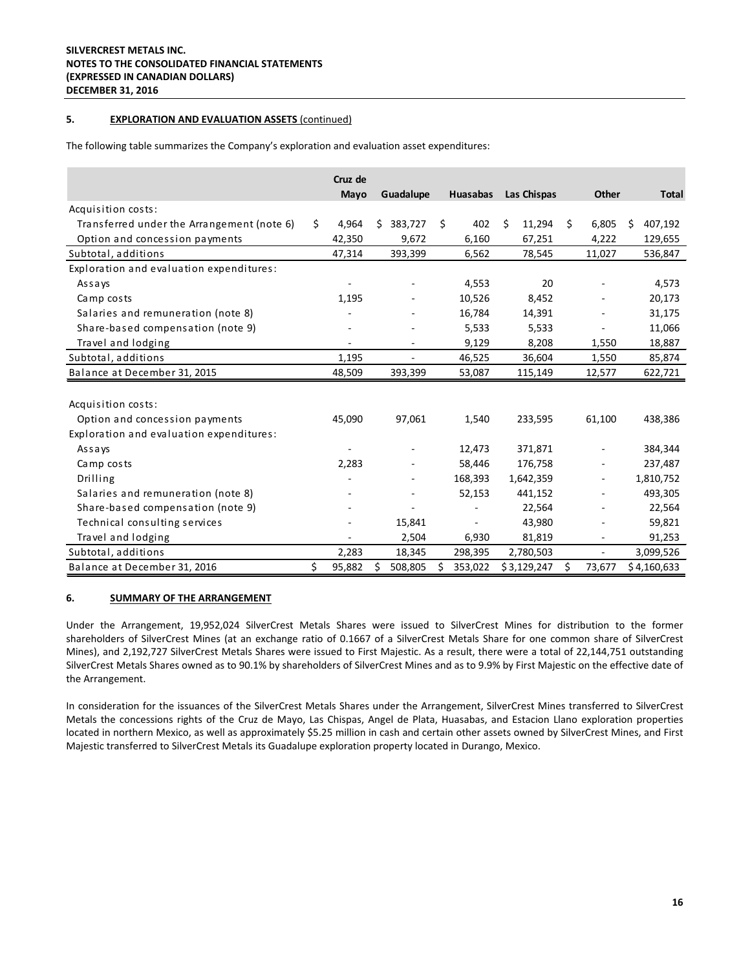#### **5. EXPLORATION AND EVALUATION ASSETS** (continued)

The following table summarizes the Company's exploration and evaluation asset expenditures:

|                                            | Cruz de<br>Mayo | Guadalupe     |    | <b>Huasabas</b> | Las Chispas |    | <b>Other</b>   |   | <b>Total</b> |
|--------------------------------------------|-----------------|---------------|----|-----------------|-------------|----|----------------|---|--------------|
| Acquisition costs:                         |                 |               |    |                 |             |    |                |   |              |
| Transferred under the Arrangement (note 6) | \$<br>4,964     | 383,727<br>Ś. | Ś. | 402             | Ś<br>11,294 | Ŝ. | 6,805          | Ś | 407,192      |
| Option and concession payments             | 42,350          | 9,672         |    | 6,160           | 67,251      |    | 4,222          |   | 129,655      |
| Subtotal, additions                        | 47,314          | 393,399       |    | 6,562           | 78,545      |    | 11,027         |   | 536,847      |
| Exploration and evaluation expenditures:   |                 |               |    |                 |             |    |                |   |              |
| Assays                                     |                 |               |    | 4,553           | 20          |    |                |   | 4,573        |
| Camp costs                                 | 1,195           |               |    | 10,526          | 8,452       |    |                |   | 20,173       |
| Salaries and remuneration (note 8)         |                 |               |    | 16,784          | 14,391      |    |                |   | 31,175       |
| Share-based compensation (note 9)          |                 |               |    | 5,533           | 5,533       |    |                |   | 11,066       |
| Travel and lodging                         |                 | ٠             |    | 9,129           | 8,208       |    | 1,550          |   | 18,887       |
| Subtotal, additions                        | 1,195           |               |    | 46,525          | 36,604      |    | 1,550          |   | 85,874       |
| Balance at December 31, 2015               | 48,509          | 393,399       |    | 53,087          | 115,149     |    | 12,577         |   | 622,721      |
|                                            |                 |               |    |                 |             |    |                |   |              |
| Acquisition costs:                         |                 |               |    |                 |             |    |                |   |              |
| Option and concession payments             | 45,090          | 97,061        |    | 1,540           | 233,595     |    | 61,100         |   | 438,386      |
| Exploration and evaluation expenditures:   |                 |               |    |                 |             |    |                |   |              |
| Assays                                     |                 |               |    | 12,473          | 371,871     |    |                |   | 384,344      |
| Camp costs                                 | 2,283           |               |    | 58,446          | 176,758     |    |                |   | 237,487      |
| Drilling                                   |                 |               |    | 168,393         | 1,642,359   |    |                |   | 1,810,752    |
| Salaries and remuneration (note 8)         |                 |               |    | 52,153          | 441,152     |    |                |   | 493,305      |
| Share-based compensation (note 9)          |                 |               |    |                 | 22,564      |    |                |   | 22,564       |
| Technical consulting services              |                 | 15,841        |    |                 | 43,980      |    |                |   | 59,821       |
| Travel and lodging                         |                 | 2,504         |    | 6,930           | 81,819      |    |                |   | 91,253       |
| Subtotal, additions                        | 2,283           | 18,345        |    | 298,395         | 2,780,503   |    | $\blacksquare$ |   | 3,099,526    |
| Balance at December 31, 2016               | \$<br>95,882    | 508,805<br>Ś  | Ś  | 353,022         | \$3,129,247 | Ś. | 73,677         |   | \$4,160,633  |

#### **6. SUMMARY OF THE ARRANGEMENT**

Under the Arrangement, 19,952,024 SilverCrest Metals Shares were issued to SilverCrest Mines for distribution to the former shareholders of SilverCrest Mines (at an exchange ratio of 0.1667 of a SilverCrest Metals Share for one common share of SilverCrest Mines), and 2,192,727 SilverCrest Metals Shares were issued to First Majestic. As a result, there were a total of 22,144,751 outstanding SilverCrest Metals Shares owned as to 90.1% by shareholders of SilverCrest Mines and as to 9.9% by First Majestic on the effective date of the Arrangement.

In consideration for the issuances of the SilverCrest Metals Shares under the Arrangement, SilverCrest Mines transferred to SilverCrest Metals the concessions rights of the Cruz de Mayo, Las Chispas, Angel de Plata, Huasabas, and Estacion Llano exploration properties located in northern Mexico, as well as approximately \$5.25 million in cash and certain other assets owned by SilverCrest Mines, and First Majestic transferred to SilverCrest Metals its Guadalupe exploration property located in Durango, Mexico.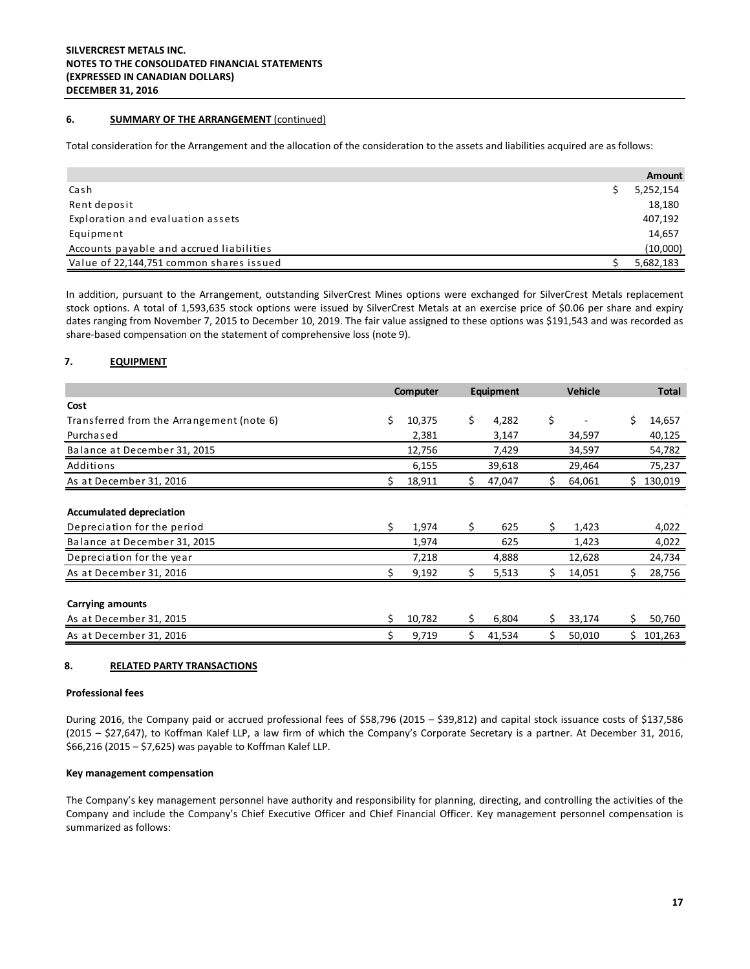#### **6. SUMMARY OF THE ARRANGEMENT** (continued)

Total consideration for the Arrangement and the allocation of the consideration to the assets and liabilities acquired are as follows:

|                                          | Amount    |
|------------------------------------------|-----------|
| Cash                                     | 5,252,154 |
| Rent deposit                             | 18,180    |
| Exploration and evaluation assets        | 407,192   |
| Equipment                                | 14,657    |
| Accounts payable and accrued liabilities | (10,000)  |
| Value of 22,144,751 common shares issued | 5,682,183 |

In addition, pursuant to the Arrangement, outstanding SilverCrest Mines options were exchanged for SilverCrest Metals replacement stock options. A total of 1,593,635 stock options were issued by SilverCrest Metals at an exercise price of \$0.06 per share and expiry dates ranging from November 7, 2015 to December 10, 2019. The fair value assigned to these options was \$191,543 and was recorded as share-based compensation on the statement of comprehensive loss (note 9).

#### **7. EQUIPMENT**

|                                           |    | Computer |     | Equipment |    | <b>Vehicle</b> |    | <b>Total</b> |
|-------------------------------------------|----|----------|-----|-----------|----|----------------|----|--------------|
| Cost                                      |    |          |     |           |    |                |    |              |
| Transferred from the Arrangement (note 6) | Ś. | 10,375   | \$  | 4,282     | \$ |                | Ś  | 14,657       |
| Purchased                                 |    | 2,381    |     | 3,147     |    | 34,597         |    | 40,125       |
| Balance at December 31, 2015              |    | 12,756   |     | 7,429     |    | 34,597         |    | 54,782       |
| Additions                                 |    | 6,155    |     | 39,618    |    | 29,464         |    | 75,237       |
| As at December 31, 2016                   |    | 18,911   | S.  | 47,047    | Ś. | 64,061         | S. | 130,019      |
|                                           |    |          |     |           |    |                |    |              |
| <b>Accumulated depreciation</b>           |    |          |     |           |    |                |    |              |
| Depreciation for the period               | Ś  | 1,974    | Ś.  | 625       | \$ | 1,423          |    | 4,022        |
| Balance at December 31, 2015              |    | 1,974    |     | 625       |    | 1,423          |    | 4,022        |
| Depreciation for the year                 |    | 7,218    |     | 4,888     |    | 12,628         |    | 24,734       |
| As at December 31, 2016                   |    | 9,192    | \$. | 5,513     | \$ | 14,051         | \$ | 28,756       |
|                                           |    |          |     |           |    |                |    |              |
| Carrying amounts                          |    |          |     |           |    |                |    |              |
| As at December 31, 2015                   | \$ | 10,782   | \$  | 6,804     | \$ | 33,174         | \$ | 50,760       |
| As at December 31, 2016                   |    | 9,719    | \$  | 41,534    | \$ | 50,010         | Ś. | 101,263      |

#### **8. RELATED PARTY TRANSACTIONS**

#### **Professional fees**

During 2016, the Company paid or accrued professional fees of \$58,796 (2015 – \$39,812) and capital stock issuance costs of \$137,586 (2015 – \$27,647), to Koffman Kalef LLP, a law firm of which the Company's Corporate Secretary is a partner. At December 31, 2016, \$66,216 (2015 – \$7,625) was payable to Koffman Kalef LLP.

#### **Key management compensation**

The Company's key management personnel have authority and responsibility for planning, directing, and controlling the activities of the Company and include the Company's Chief Executive Officer and Chief Financial Officer. Key management personnel compensation is summarized as follows: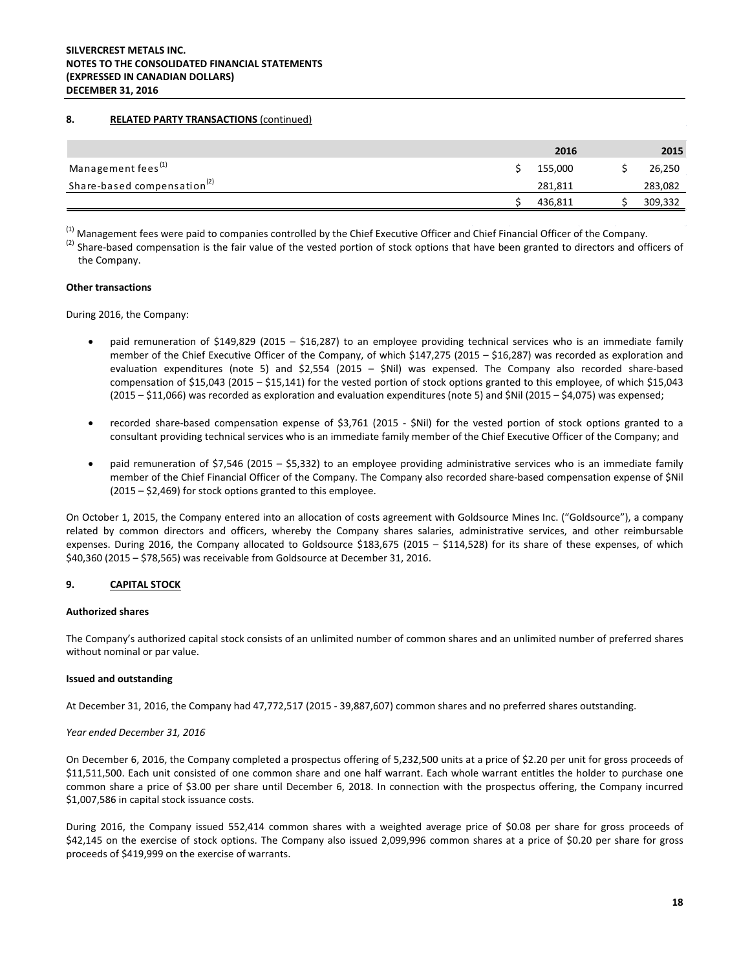#### **8. RELATED PARTY TRANSACTIONS** (continued)

|                                         | 2016    | 2015    |
|-----------------------------------------|---------|---------|
| Management fees <sup>(1)</sup>          | 155.000 | 26,250  |
| Share-based compensation <sup>(2)</sup> | 281.811 | 283,082 |
|                                         | 436.811 | 309,332 |

<sup>(1)</sup> Management fees were paid to companies controlled by the Chief Executive Officer and Chief Financial Officer of the Company.

 $(2)$  Share-based compensation is the fair value of the vested portion of stock options that have been granted to directors and officers of the Company.

#### **Other transactions**

During 2016, the Company:

- paid remuneration of \$149,829 (2015 \$16,287) to an employee providing technical services who is an immediate family member of the Chief Executive Officer of the Company, of which \$147,275 (2015 – \$16,287) was recorded as exploration and evaluation expenditures (note 5) and \$2,554 (2015 – \$Nil) was expensed. The Company also recorded share-based compensation of \$15,043 (2015 – \$15,141) for the vested portion of stock options granted to this employee, of which \$15,043 (2015 – \$11,066) was recorded as exploration and evaluation expenditures (note 5) and \$Nil (2015 – \$4,075) was expensed;
- recorded share-based compensation expense of \$3,761 (2015 \$Nil) for the vested portion of stock options granted to a consultant providing technical services who is an immediate family member of the Chief Executive Officer of the Company; and
- paid remuneration of \$7,546 (2015 \$5,332) to an employee providing administrative services who is an immediate family member of the Chief Financial Officer of the Company. The Company also recorded share-based compensation expense of \$Nil (2015 – \$2,469) for stock options granted to this employee.

On October 1, 2015, the Company entered into an allocation of costs agreement with Goldsource Mines Inc. ("Goldsource"), a company related by common directors and officers, whereby the Company shares salaries, administrative services, and other reimbursable expenses. During 2016, the Company allocated to Goldsource \$183,675 (2015 – \$114,528) for its share of these expenses, of which \$40,360 (2015 – \$78,565) was receivable from Goldsource at December 31, 2016.

#### **9. CAPITAL STOCK**

#### **Authorized shares**

The Company's authorized capital stock consists of an unlimited number of common shares and an unlimited number of preferred shares without nominal or par value.

#### **Issued and outstanding**

At December 31, 2016, the Company had 47,772,517 (2015 - 39,887,607) common shares and no preferred shares outstanding.

#### *Year ended December 31, 2016*

On December 6, 2016, the Company completed a prospectus offering of 5,232,500 units at a price of \$2.20 per unit for gross proceeds of \$11,511,500. Each unit consisted of one common share and one half warrant. Each whole warrant entitles the holder to purchase one common share a price of \$3.00 per share until December 6, 2018. In connection with the prospectus offering, the Company incurred \$1,007,586 in capital stock issuance costs.

During 2016, the Company issued 552,414 common shares with a weighted average price of \$0.08 per share for gross proceeds of \$42,145 on the exercise of stock options. The Company also issued 2,099,996 common shares at a price of \$0.20 per share for gross proceeds of \$419,999 on the exercise of warrants.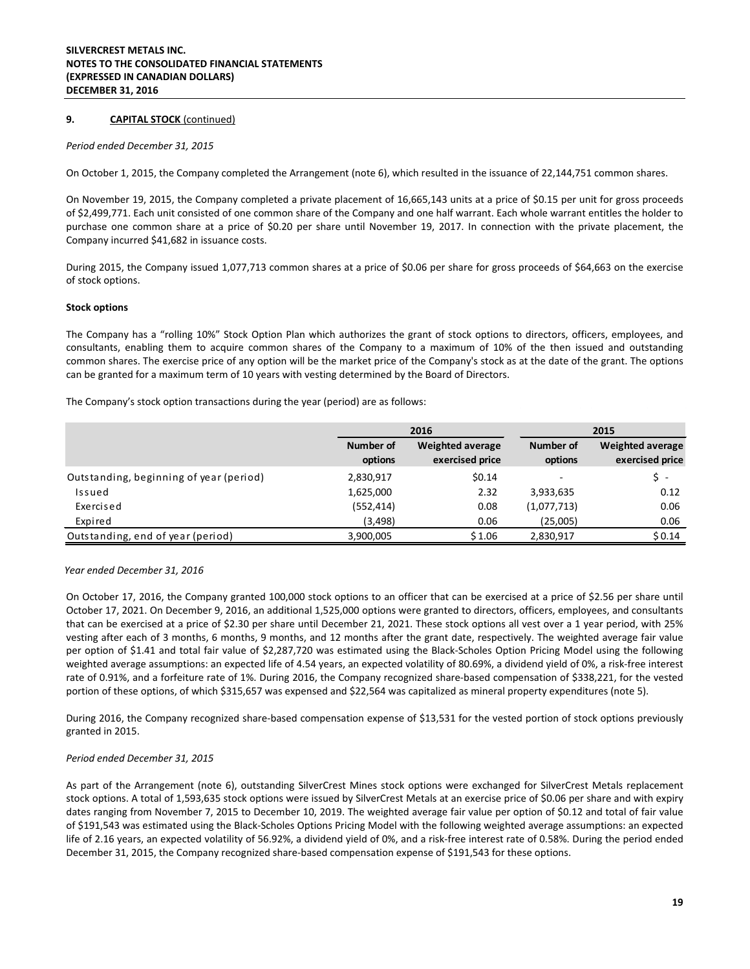#### **9. CAPITAL STOCK** (continued)

#### *Period ended December 31, 2015*

On October 1, 2015, the Company completed the Arrangement (note 6), which resulted in the issuance of 22,144,751 common shares.

On November 19, 2015, the Company completed a private placement of 16,665,143 units at a price of \$0.15 per unit for gross proceeds of \$2,499,771. Each unit consisted of one common share of the Company and one half warrant. Each whole warrant entitles the holder to purchase one common share at a price of \$0.20 per share until November 19, 2017. In connection with the private placement, the Company incurred \$41,682 in issuance costs.

During 2015, the Company issued 1,077,713 common shares at a price of \$0.06 per share for gross proceeds of \$64,663 on the exercise of stock options.

#### **Stock options**

The Company has a "rolling 10%" Stock Option Plan which authorizes the grant of stock options to directors, officers, employees, and consultants, enabling them to acquire common shares of the Company to a maximum of 10% of the then issued and outstanding common shares. The exercise price of any option will be the market price of the Company's stock as at the date of the grant. The options can be granted for a maximum term of 10 years with vesting determined by the Board of Directors.

The Company's stock option transactions during the year (period) are as follows:

|                                         |            | 2016                    |                          | 2015                    |
|-----------------------------------------|------------|-------------------------|--------------------------|-------------------------|
|                                         | Number of  | <b>Weighted average</b> |                          | <b>Weighted average</b> |
|                                         | options    | exercised price         | options                  | exercised price         |
| Outstanding, beginning of year (period) | 2,830,917  | \$0.14                  | $\overline{\phantom{a}}$ | s -                     |
| Issued                                  | 1,625,000  | 2.32                    | 3,933,635                | 0.12                    |
| Exercised                               | (552, 414) | 0.08                    | (1,077,713)              | 0.06                    |
| Expired                                 | (3,498)    | 0.06                    | (25,005)                 | 0.06                    |
| Outstanding, end of year (period)       | 3,900,005  | \$1.06                  | 2,830,917                | \$0.14                  |

#### *Year ended December 31, 2016*

On October 17, 2016, the Company granted 100,000 stock options to an officer that can be exercised at a price of \$2.56 per share until October 17, 2021. On December 9, 2016, an additional 1,525,000 options were granted to directors, officers, employees, and consultants that can be exercised at a price of \$2.30 per share until December 21, 2021. These stock options all vest over a 1 year period, with 25% vesting after each of 3 months, 6 months, 9 months, and 12 months after the grant date, respectively. The weighted average fair value per option of \$1.41 and total fair value of \$2,287,720 was estimated using the Black-Scholes Option Pricing Model using the following weighted average assumptions: an expected life of 4.54 years, an expected volatility of 80.69%, a dividend yield of 0%, a risk-free interest rate of 0.91%, and a forfeiture rate of 1%. During 2016, the Company recognized share-based compensation of \$338,221, for the vested portion of these options, of which \$315,657 was expensed and \$22,564 was capitalized as mineral property expenditures (note 5).

During 2016, the Company recognized share-based compensation expense of \$13,531 for the vested portion of stock options previously granted in 2015.

#### *Period ended December 31, 2015*

As part of the Arrangement (note 6), outstanding SilverCrest Mines stock options were exchanged for SilverCrest Metals replacement stock options. A total of 1,593,635 stock options were issued by SilverCrest Metals at an exercise price of \$0.06 per share and with expiry dates ranging from November 7, 2015 to December 10, 2019. The weighted average fair value per option of \$0.12 and total of fair value of \$191,543 was estimated using the Black-Scholes Options Pricing Model with the following weighted average assumptions: an expected life of 2.16 years, an expected volatility of 56.92%, a dividend yield of 0%, and a risk-free interest rate of 0.58%. During the period ended December 31, 2015, the Company recognized share-based compensation expense of \$191,543 for these options.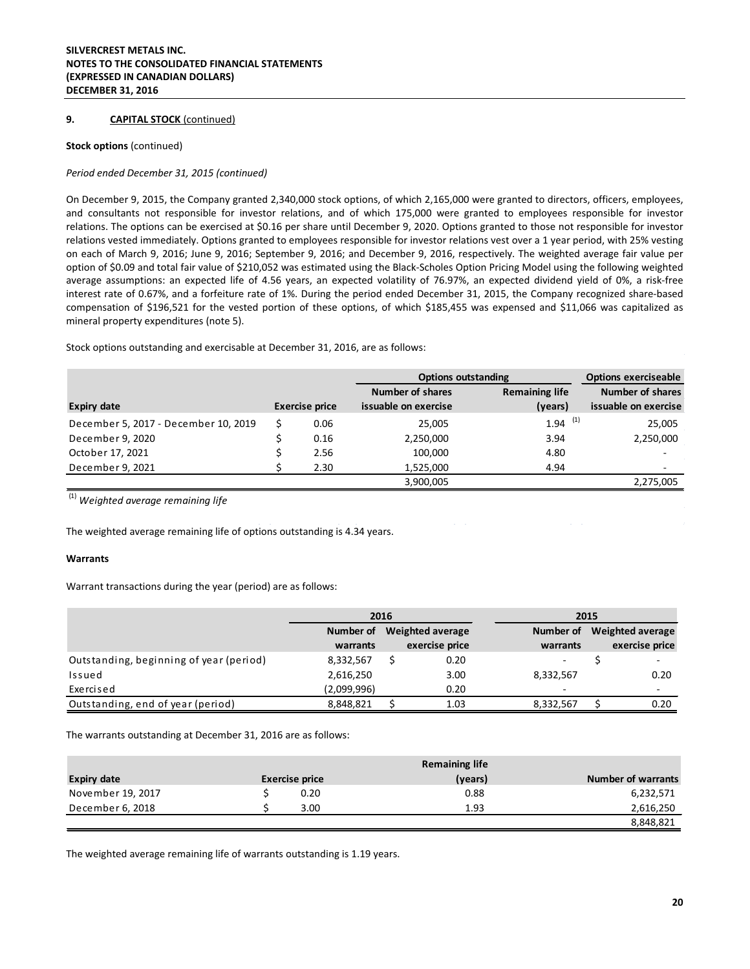#### **9. CAPITAL STOCK** (continued)

#### **Stock options** (continued)

#### *Period ended December 31, 2015 (continued)*

On December 9, 2015, the Company granted 2,340,000 stock options, of which 2,165,000 were granted to directors, officers, employees, and consultants not responsible for investor relations, and of which 175,000 were granted to employees responsible for investor relations. The options can be exercised at \$0.16 per share until December 9, 2020. Options granted to those not responsible for investor relations vested immediately. Options granted to employees responsible for investor relations vest over a 1 year period, with 25% vesting on each of March 9, 2016; June 9, 2016; September 9, 2016; and December 9, 2016, respectively. The weighted average fair value per option of \$0.09 and total fair value of \$210,052 was estimated using the Black-Scholes Option Pricing Model using the following weighted average assumptions: an expected life of 4.56 years, an expected volatility of 76.97%, an expected dividend yield of 0%, a risk-free interest rate of 0.67%, and a forfeiture rate of 1%. During the period ended December 31, 2015, the Company recognized share-based compensation of \$196,521 for the vested portion of these options, of which \$185,455 was expensed and \$11,066 was capitalized as mineral property expenditures (note 5).

Stock options outstanding and exercisable at December 31, 2016, are as follows:

|                                      |                       | <b>Options outstanding</b> |                       | <b>Options exerciseable</b> |
|--------------------------------------|-----------------------|----------------------------|-----------------------|-----------------------------|
|                                      |                       | <b>Number of shares</b>    | <b>Remaining life</b> | <b>Number of shares</b>     |
| <b>Expiry date</b>                   | <b>Exercise price</b> | issuable on exercise       | (years)               | issuable on exercise        |
| December 5, 2017 - December 10, 2019 | 0.06                  | 25,005                     | $1.94$ <sup>(1)</sup> | 25,005                      |
| December 9, 2020                     | 0.16                  | 2,250,000                  | 3.94                  | 2,250,000                   |
| October 17, 2021                     | 2.56                  | 100,000                    | 4.80                  | $\overline{\phantom{a}}$    |
| December 9, 2021                     | 2.30                  | 1,525,000                  | 4.94                  | ۰                           |
|                                      |                       | 3,900,005                  |                       | 2,275,005                   |

(1) *Weighted average remaining life*

The weighted average remaining life of options outstanding is 4.34 years.

#### **Warrants**

Warrant transactions during the year (period) are as follows:

|                                         | 2016        |                  | 2015           |           |  |                          |
|-----------------------------------------|-------------|------------------|----------------|-----------|--|--------------------------|
|                                         | Number of   | Weighted average |                | Number of |  | <b>Weighted average</b>  |
|                                         | warrants    |                  | exercise price | warrants  |  | exercise price           |
| Outstanding, beginning of year (period) | 8,332,567   |                  | 0.20           |           |  | $\overline{\phantom{a}}$ |
| Issued                                  | 2,616,250   |                  | 3.00           | 8,332,567 |  | 0.20                     |
| Exercised                               | (2,099,996) |                  | 0.20           |           |  | $\overline{\phantom{a}}$ |
| Outstanding, end of year (period)       | 8,848,821   |                  | 1.03           | 8,332,567 |  | 0.20                     |

The warrants outstanding at December 31, 2016 are as follows:

| <b>Remaining life</b> |                       |      |         |  |                           |
|-----------------------|-----------------------|------|---------|--|---------------------------|
| <b>Expiry date</b>    | <b>Exercise price</b> |      | (years) |  | <b>Number of warrants</b> |
| November 19, 2017     |                       | 0.20 | 0.88    |  | 6,232,571                 |
| December 6, 2018      |                       | 3.00 | 1.93    |  | 2,616,250                 |
|                       |                       |      |         |  | 8,848,821                 |

The weighted average remaining life of warrants outstanding is 1.19 years.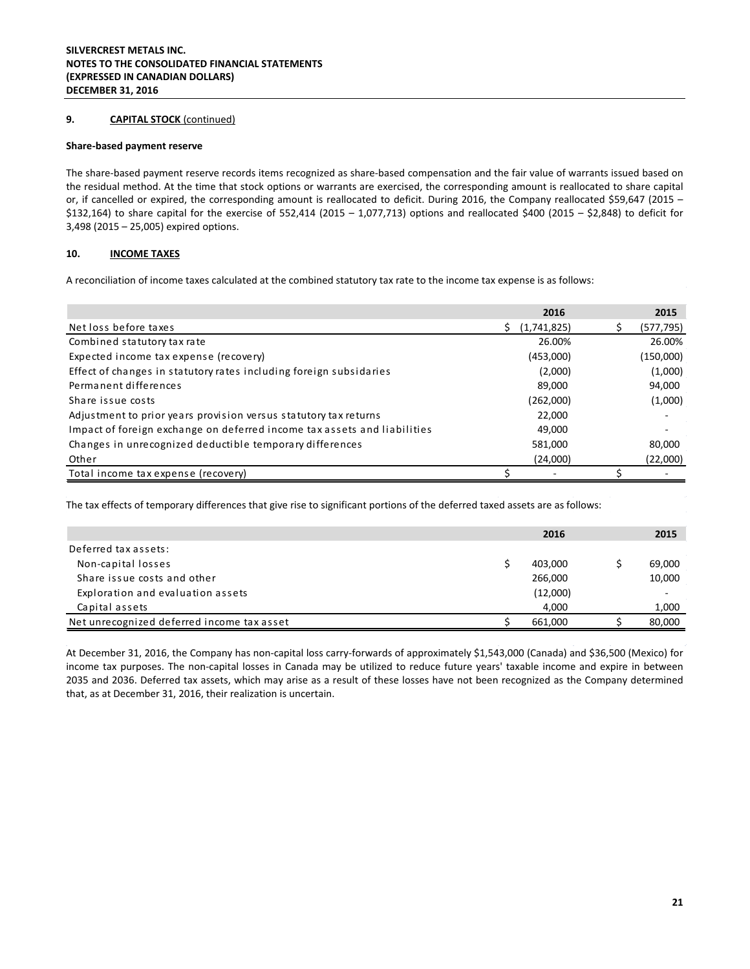#### **9. CAPITAL STOCK** (continued)

#### **Share-based payment reserve**

The share-based payment reserve records items recognized as share-based compensation and the fair value of warrants issued based on the residual method. At the time that stock options or warrants are exercised, the corresponding amount is reallocated to share capital or, if cancelled or expired, the corresponding amount is reallocated to deficit. During 2016, the Company reallocated \$59,647 (2015 – \$132,164) to share capital for the exercise of 552,414 (2015 – 1,077,713) options and reallocated \$400 (2015 – \$2,848) to deficit for 3,498 (2015 – 25,005) expired options.

#### **10. INCOME TAXES**

A reconciliation of income taxes calculated at the combined statutory tax rate to the income tax expense is as follows:

|                                                                          | 2016              | 2015                     |
|--------------------------------------------------------------------------|-------------------|--------------------------|
| Net loss before taxes                                                    | (1,741,825)<br>S. | (577, 795)               |
| Combined statutory tax rate                                              | 26.00%            | 26.00%                   |
| Expected income tax expense (recovery)                                   | (453,000)         | (150,000)                |
| Effect of changes in statutory rates including foreign subsidaries       | (2,000)           | (1,000)                  |
| Permanent differences                                                    | 89.000            | 94,000                   |
| Share issue costs                                                        | (262,000)         | (1,000)                  |
| Adjustment to prior years provision versus statutory tax returns         | 22,000            | $\overline{\phantom{a}}$ |
| Impact of foreign exchange on deferred income tax assets and liabilities | 49.000            |                          |
| Changes in unrecognized deductible temporary differences                 | 581,000           | 80,000                   |
| Other                                                                    | (24,000)          | (22,000)                 |
| Total income tax expense (recovery)                                      |                   |                          |

The tax effects of temporary differences that give rise to significant portions of the deferred taxed assets are as follows:

|                                            | 2016     | 2015   |
|--------------------------------------------|----------|--------|
| Deferred tax assets:                       |          |        |
| Non-capital losses                         | 403.000  | 69,000 |
| Share issue costs and other                | 266,000  | 10,000 |
| Exploration and evaluation assets          | (12,000) | $\sim$ |
| Capital assets                             | 4,000    | 1,000  |
| Net unrecognized deferred income tax asset | 661.000  | 80,000 |

At December 31, 2016, the Company has non-capital loss carry-forwards of approximately \$1,543,000 (Canada) and \$36,500 (Mexico) for income tax purposes. The non-capital losses in Canada may be utilized to reduce future years' taxable income and expire in between 2035 and 2036. Deferred tax assets, which may arise as a result of these losses have not been recognized as the Company determined that, as at December 31, 2016, their realization is uncertain.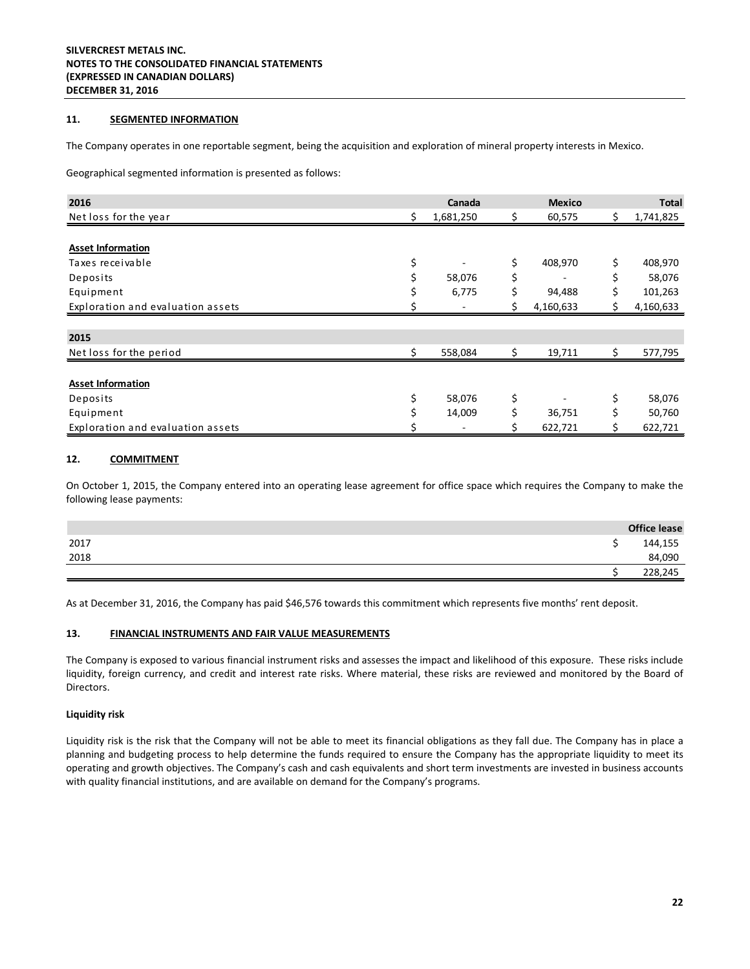#### **11. SEGMENTED INFORMATION**

The Company operates in one reportable segment, being the acquisition and exploration of mineral property interests in Mexico.

Geographical segmented information is presented as follows:

| 2016                              |    | Canada    |    | <b>Mexico</b> |     | <b>Total</b> |
|-----------------------------------|----|-----------|----|---------------|-----|--------------|
| Net loss for the year             | Ś. | 1,681,250 | Ś. | 60,575        | \$. | 1,741,825    |
|                                   |    |           |    |               |     |              |
| <b>Asset Information</b>          |    |           |    |               |     |              |
| Taxes receivable                  | \$ |           | \$ | 408,970       | \$  | 408,970      |
| Deposits                          |    | 58,076    |    | -             |     | 58,076       |
| Equipment                         |    | 6,775     |    | 94,488        |     | 101,263      |
| Exploration and evaluation assets |    |           |    | 4,160,633     |     | 4,160,633    |
|                                   |    |           |    |               |     |              |
| 2015                              |    |           |    |               |     |              |
| Net loss for the period           | ς. | 558,084   | \$ | 19,711        | \$  | 577,795      |
|                                   |    |           |    |               |     |              |
| <b>Asset Information</b>          |    |           |    |               |     |              |
| Deposits                          | \$ | 58,076    | \$ |               | \$  | 58,076       |
| Equipment                         |    | 14,009    |    | 36,751        |     | 50,760       |
| Exploration and evaluation assets |    |           |    | 622,721       |     | 622,721      |

#### **12. COMMITMENT**

On October 1, 2015, the Company entered into an operating lease agreement for office space which requires the Company to make the following lease payments:

|      | <b>Office lease</b> |
|------|---------------------|
| 2017 | 144,155             |
| 2018 | 84,090              |
|      | 228,245             |

As at December 31, 2016, the Company has paid \$46,576 towards this commitment which represents five months' rent deposit.

#### **13. FINANCIAL INSTRUMENTS AND FAIR VALUE MEASUREMENTS**

The Company is exposed to various financial instrument risks and assesses the impact and likelihood of this exposure. These risks include liquidity, foreign currency, and credit and interest rate risks. Where material, these risks are reviewed and monitored by the Board of Directors.

#### **Liquidity risk**

Liquidity risk is the risk that the Company will not be able to meet its financial obligations as they fall due. The Company has in place a planning and budgeting process to help determine the funds required to ensure the Company has the appropriate liquidity to meet its operating and growth objectives. The Company's cash and cash equivalents and short term investments are invested in business accounts with quality financial institutions, and are available on demand for the Company's programs.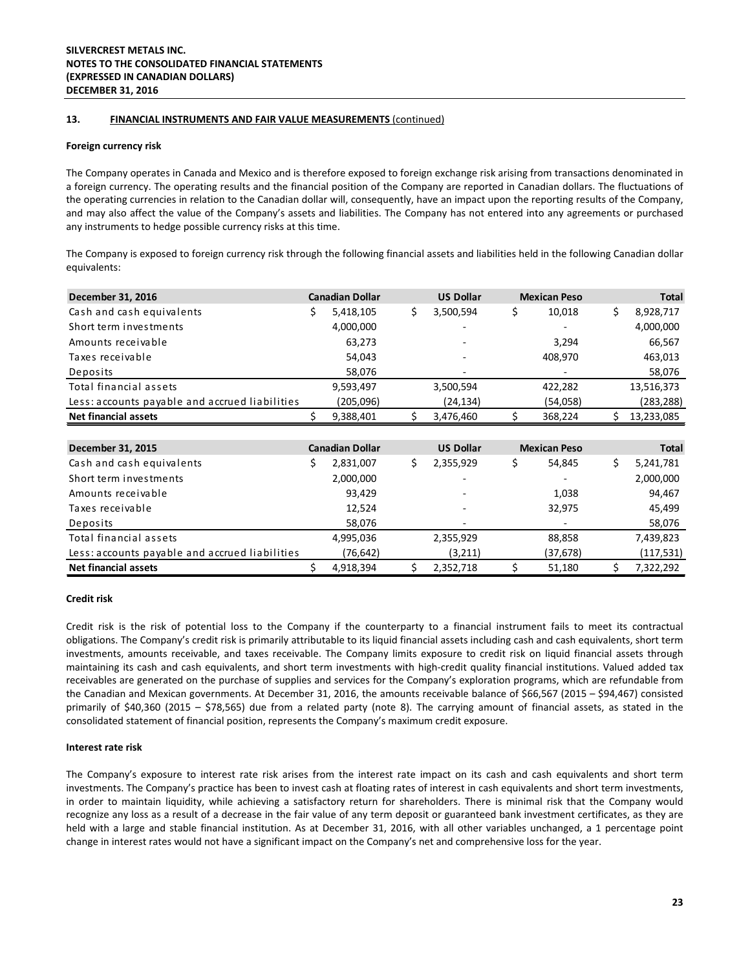#### **13. FINANCIAL INSTRUMENTS AND FAIR VALUE MEASUREMENTS** (continued)

#### **Foreign currency risk**

The Company operates in Canada and Mexico and is therefore exposed to foreign exchange risk arising from transactions denominated in a foreign currency. The operating results and the financial position of the Company are reported in Canadian dollars. The fluctuations of the operating currencies in relation to the Canadian dollar will, consequently, have an impact upon the reporting results of the Company, and may also affect the value of the Company's assets and liabilities. The Company has not entered into any agreements or purchased any instruments to hedge possible currency risks at this time.

The Company is exposed to foreign currency risk through the following financial assets and liabilities held in the following Canadian dollar equivalents:

| December 31, 2016                              | <b>Canadian Dollar</b> |     | <b>US Dollar</b> |     | <b>Mexican Peso</b> | Total            |
|------------------------------------------------|------------------------|-----|------------------|-----|---------------------|------------------|
| Cash and cash equivalents                      | \$<br>5,418,105        | \$  | 3,500,594        | \$  | 10,018              | \$<br>8,928,717  |
| Short term investments                         | 4,000,000              |     |                  |     |                     | 4,000,000        |
| Amounts receivable                             | 63,273                 |     |                  |     | 3,294               | 66,567           |
| Taxes receivable                               | 54,043                 |     |                  |     | 408,970             | 463,013          |
| Deposits                                       | 58,076                 |     |                  |     |                     | 58,076           |
| Total financial assets                         | 9,593,497              |     | 3,500,594        |     | 422,282             | 13,516,373       |
| Less: accounts payable and accrued liabilities | (205,096)              |     | (24,134)         |     | (54,058)            | (283,288)        |
| <b>Net financial assets</b>                    | 9,388,401              | S.  | 3,476,460        | \$. | 368,224             | \$<br>13,233,085 |
|                                                |                        |     |                  |     |                     |                  |
| December 31, 2015                              | <b>Canadian Dollar</b> |     | <b>US Dollar</b> |     | <b>Mexican Peso</b> | <b>Total</b>     |
| Cash and cash equivalents                      | \$<br>2,831,007        | \$. | 2,355,929        | \$. | 54,845              | \$<br>5,241,781  |
| Short term investments                         | 2,000,000              |     |                  |     |                     | 2,000,000        |
| Amounts receivable                             | 93,429                 |     |                  |     | 1,038               | 94,467           |
| Taxes receivable                               | 12,524                 |     |                  |     | 32,975              | 45,499           |
| Deposits                                       | 58,076                 |     |                  |     |                     | 58,076           |
| Total financial assets                         | 4,995,036              |     | 2,355,929        |     | 88,858              | 7,439,823        |
| Less: accounts payable and accrued liabilities | (76, 642)              |     | (3,211)          |     | (37,678)            | (117, 531)       |
| <b>Net financial assets</b>                    | 4,918,394              | \$. | 2,352,718        | S   | 51,180              | \$<br>7,322,292  |

#### **Credit risk**

Credit risk is the risk of potential loss to the Company if the counterparty to a financial instrument fails to meet its contractual obligations. The Company's credit risk is primarily attributable to its liquid financial assets including cash and cash equivalents, short term investments, amounts receivable, and taxes receivable. The Company limits exposure to credit risk on liquid financial assets through maintaining its cash and cash equivalents, and short term investments with high-credit quality financial institutions. Valued added tax receivables are generated on the purchase of supplies and services for the Company's exploration programs, which are refundable from the Canadian and Mexican governments. At December 31, 2016, the amounts receivable balance of \$66,567 (2015 – \$94,467) consisted primarily of \$40,360 (2015 – \$78,565) due from a related party (note 8). The carrying amount of financial assets, as stated in the consolidated statement of financial position, represents the Company's maximum credit exposure.

#### **Interest rate risk**

The Company's exposure to interest rate risk arises from the interest rate impact on its cash and cash equivalents and short term investments. The Company's practice has been to invest cash at floating rates of interest in cash equivalents and short term investments, in order to maintain liquidity, while achieving a satisfactory return for shareholders. There is minimal risk that the Company would recognize any loss as a result of a decrease in the fair value of any term deposit or guaranteed bank investment certificates, as they are held with a large and stable financial institution. As at December 31, 2016, with all other variables unchanged, a 1 percentage point change in interest rates would not have a significant impact on the Company's net and comprehensive loss for the year.